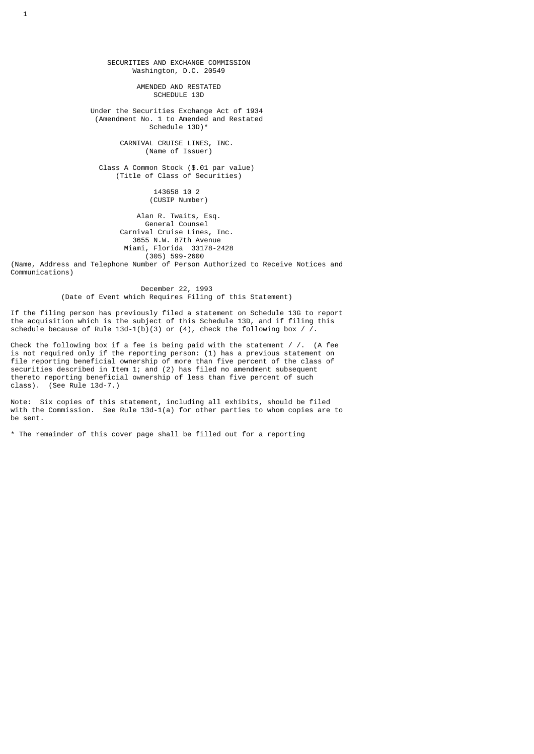SECURITIES AND EXCHANGE COMMISSION Washington, D.C. 20549

> AMENDED AND RESTATED SCHEDULE 13D

 Under the Securities Exchange Act of 1934 (Amendment No. 1 to Amended and Restated Schedule 13D)\*

> CARNIVAL CRUISE LINES, INC. (Name of Issuer)

 Class A Common Stock (\$.01 par value) (Title of Class of Securities)

> 143658 10 2 (CUSIP Number)

 Alan R. Twaits, Esq. General Counsel Carnival Cruise Lines, Inc. 3655 N.W. 87th Avenue Miami, Florida 33178-2428 (305) 599-2600

(Name, Address and Telephone Number of Person Authorized to Receive Notices and Communications)

> December 22, 1993 (Date of Event which Requires Filing of this Statement)

If the filing person has previously filed a statement on Schedule 13G to report the acquisition which is the subject of this Schedule 13D, and if filing this schedule because of Rule  $13d-1(b)(3)$  or  $(4)$ , check the following box / /.

Check the following box if a fee is being paid with the statement /  $/$ . (A fee is not required only if the reporting person: (1) has a previous statement on file reporting beneficial ownership of more than five percent of the class of securities described in Item 1; and (2) has filed no amendment subsequent thereto reporting beneficial ownership of less than five percent of such class). (See Rule 13d-7.)

Note: Six copies of this statement, including all exhibits, should be filed with the Commission. See Rule 13d-1(a) for other parties to whom copies are to be sent.

\* The remainder of this cover page shall be filled out for a reporting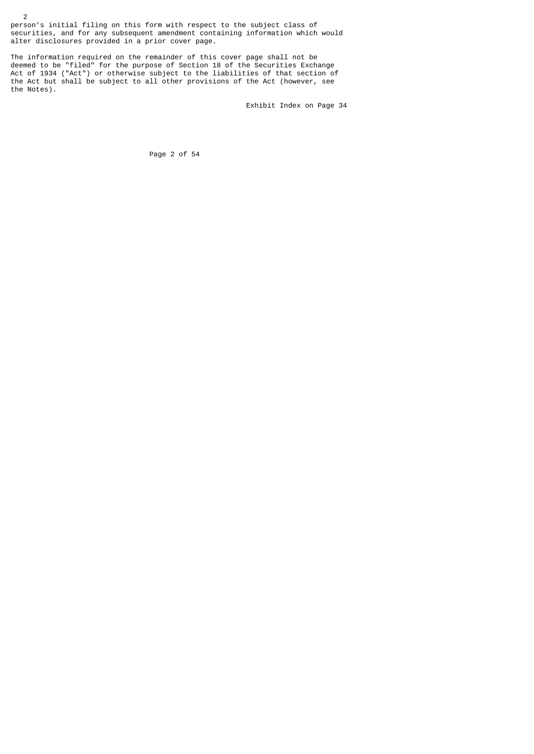person's initial filing on this form with respect to the subject class of securities, and for any subsequent amendment containing information which would alter disclosures provided in a prior cover page.

The information required on the remainder of this cover page shall not be deemed to be "filed" for the purpose of Section 18 of the Securities Exchange Act of 1934 ("Act") or otherwise subject to the liabilities of that section of the Act but shall be subject to all other provisions of the Act (however, see the Notes).

Exhibit Index on Page 34

Page 2 of 54

2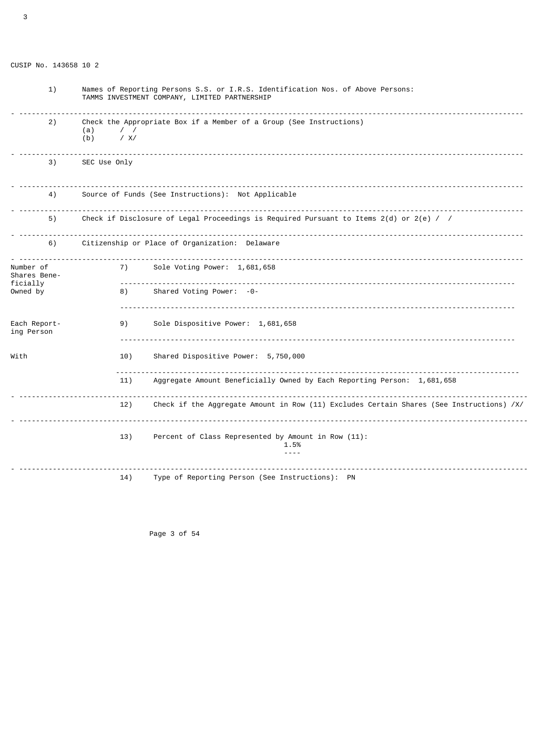| 1)                         | Names of Reporting Persons S.S. or I.R.S. Identification Nos. of Above Persons:<br>TAMMS INVESTMENT COMPANY, LIMITED PARTNERSHIP |  |  |  |
|----------------------------|----------------------------------------------------------------------------------------------------------------------------------|--|--|--|
| 2)                         | Check the Appropriate Box if a Member of a Group (See Instructions)<br>(a)<br>$\prime$ /<br>/ X/<br>(b)                          |  |  |  |
| 3)                         | SEC Use Only                                                                                                                     |  |  |  |
| 4)                         | Source of Funds (See Instructions): Not Applicable                                                                               |  |  |  |
| 5)                         | Check if Disclosure of Legal Proceedings is Required Pursuant to Items $2(d)$ or $2(e)$ / /                                      |  |  |  |
| 6)                         | Citizenship or Place of Organization: Delaware                                                                                   |  |  |  |
| Number of<br>Shares Bene-  | 7)<br>Sole Voting Power: 1,681,658                                                                                               |  |  |  |
| ficially<br>Owned by       | <u>.</u><br>Shared Voting Power: -0-<br>8)                                                                                       |  |  |  |
| Each Report-<br>ing Person | 9)<br>Sole Dispositive Power: 1,681,658                                                                                          |  |  |  |
| With                       | Shared Dispositive Power: 5,750,000<br>10)                                                                                       |  |  |  |
|                            | <u>.</u><br>Aggregate Amount Beneficially Owned by Each Reporting Person: 1,681,658<br>11)                                       |  |  |  |
|                            | 12)<br>Check if the Aggregate Amount in Row (11) Excludes Certain Shares (See Instructions) /X/                                  |  |  |  |
|                            | 13)<br>Percent of Class Represented by Amount in Row (11):<br>1.5%<br>$- - - -$                                                  |  |  |  |
|                            | Type of Reporting Person (See Instructions): PN<br>14)                                                                           |  |  |  |

Page 3 of 54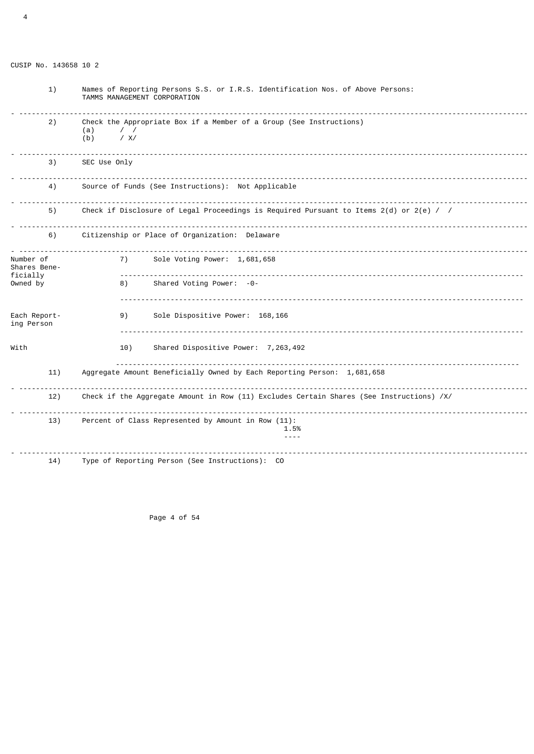| 1)                                    | Names of Reporting Persons S.S. or I.R.S. Identification Nos. of Above Persons:<br>TAMMS MANAGEMENT CORPORATION |  |  |  |  |
|---------------------------------------|-----------------------------------------------------------------------------------------------------------------|--|--|--|--|
| 2)                                    | Check the Appropriate Box if a Member of a Group (See Instructions)<br>(a)<br>$\prime$ /<br>/ X/<br>(b)         |  |  |  |  |
| 3)                                    | SEC Use Only                                                                                                    |  |  |  |  |
| 4)                                    | Source of Funds (See Instructions): Not Applicable                                                              |  |  |  |  |
| 5)                                    | Check if Disclosure of Legal Proceedings is Required Pursuant to Items $2(d)$ or $2(e)$ / /                     |  |  |  |  |
| 6)                                    | Citizenship or Place of Organization: Delaware                                                                  |  |  |  |  |
| Number of<br>Shares Bene-<br>ficially | Sole Voting Power: 1,681,658<br>7)                                                                              |  |  |  |  |
| Owned by                              | Shared Voting Power: -0-<br>8)                                                                                  |  |  |  |  |
| Each Report-<br>ing Person            | 9)<br>Sole Dispositive Power: 168,166                                                                           |  |  |  |  |
| With                                  | Shared Dispositive Power: 7,263,492<br>10)                                                                      |  |  |  |  |
| 11)                                   | Aggregate Amount Beneficially Owned by Each Reporting Person: 1,681,658                                         |  |  |  |  |
| 12)                                   | Check if the Aggregate Amount in Row (11) Excludes Certain Shares (See Instructions) /X/                        |  |  |  |  |
| 13)                                   | Percent of Class Represented by Amount in Row (11):<br>1.5%<br>$- - - -$                                        |  |  |  |  |
| 14)                                   | Type of Reporting Person (See Instructions): CO                                                                 |  |  |  |  |

Page 4 of 54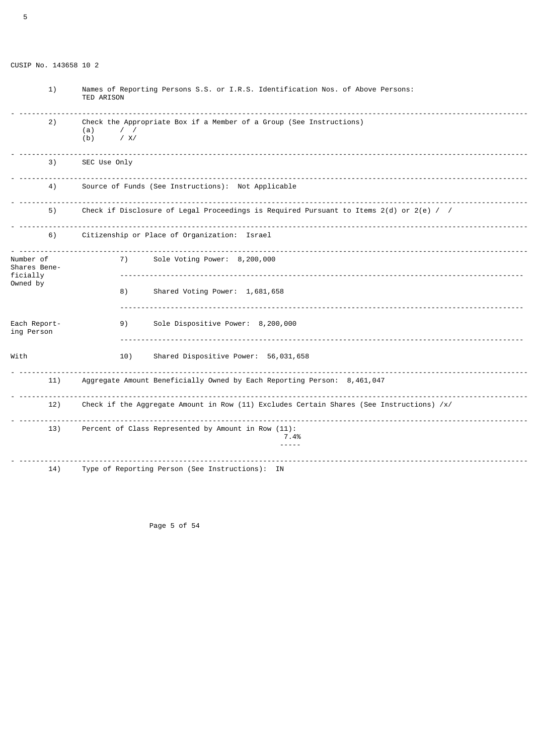| 1)                                    | Names of Reporting Persons S.S. or I.R.S. Identification Nos. of Above Persons:<br><b>TED ARISON</b>    |  |  |  |
|---------------------------------------|---------------------------------------------------------------------------------------------------------|--|--|--|
| 2)                                    | Check the Appropriate Box if a Member of a Group (See Instructions)<br>$\prime$ /<br>(a)<br>/ X/<br>(b) |  |  |  |
| 3)                                    | SEC Use Only                                                                                            |  |  |  |
| 4)                                    | Source of Funds (See Instructions): Not Applicable                                                      |  |  |  |
| 5)                                    | Check if Disclosure of Legal Proceedings is Required Pursuant to Items $2(d)$ or $2(e)$ / /             |  |  |  |
| 6)                                    | Citizenship or Place of Organization: Israel                                                            |  |  |  |
| Number of<br>Shares Bene-<br>ficially | 7)<br>Sole Voting Power: 8,200,000                                                                      |  |  |  |
| Owned by                              | 8)<br>Shared Voting Power: 1,681,658                                                                    |  |  |  |
| Each Report-<br>ing Person            | Sole Dispositive Power: 8,200,000<br>9)                                                                 |  |  |  |
| With                                  | 10)<br>Shared Dispositive Power: 56,031,658                                                             |  |  |  |
| 11)                                   | Aggregate Amount Beneficially Owned by Each Reporting Person: 8,461,047                                 |  |  |  |
| 12)                                   | Check if the Aggregate Amount in Row (11) Excludes Certain Shares (See Instructions) /x/                |  |  |  |
| 13)                                   | Percent of Class Represented by Amount in Row (11):<br>7.4%<br>$- - - - -$                              |  |  |  |
| 14)                                   | Type of Reporting Person (See Instructions): IN                                                         |  |  |  |

Page 5 of 54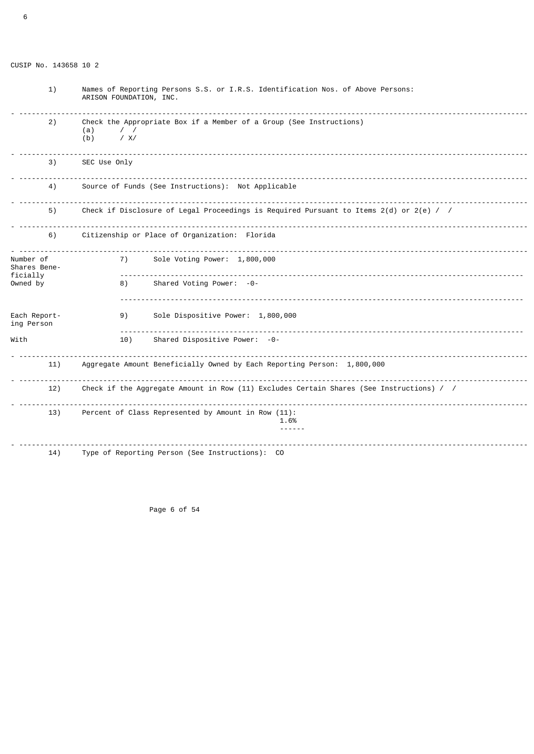| 1)                         | Names of Reporting Persons S.S. or I.R.S. Identification Nos. of Above Persons:<br>ARISON FOUNDATION, INC. |                                                                         |  |  |  |
|----------------------------|------------------------------------------------------------------------------------------------------------|-------------------------------------------------------------------------|--|--|--|
| 2)                         | Check the Appropriate Box if a Member of a Group (See Instructions)<br>$\prime$ /<br>(a)<br>/ X/<br>(b)    |                                                                         |  |  |  |
| 3)                         | SEC Use Only                                                                                               |                                                                         |  |  |  |
| 4)                         | Source of Funds (See Instructions): Not Applicable                                                         |                                                                         |  |  |  |
| 5)                         | Check if Disclosure of Legal Proceedings is Required Pursuant to Items $2(d)$ or $2(e)$ / /                |                                                                         |  |  |  |
| 6)                         | Citizenship or Place of Organization: Florida                                                              |                                                                         |  |  |  |
| Number of<br>Shares Bene-  | 7)                                                                                                         | Sole Voting Power: 1,800,000                                            |  |  |  |
| ficially<br>Owned by       | 8)                                                                                                         | Shared Voting Power: -0-                                                |  |  |  |
| Each Report-<br>ing Person | 9)                                                                                                         | Sole Dispositive Power: 1,800,000                                       |  |  |  |
| With                       | 10)                                                                                                        | Shared Dispositive Power: -0-                                           |  |  |  |
| 11)                        |                                                                                                            | Aggregate Amount Beneficially Owned by Each Reporting Person: 1,800,000 |  |  |  |
| 12)                        | Check if the Aggregate Amount in Row (11) Excludes Certain Shares (See Instructions) / /                   |                                                                         |  |  |  |
| 13)                        | Percent of Class Represented by Amount in Row (11):<br>1.6%                                                |                                                                         |  |  |  |
| 14)                        |                                                                                                            | Type of Reporting Person (See Instructions): CO                         |  |  |  |

Page 6 of 54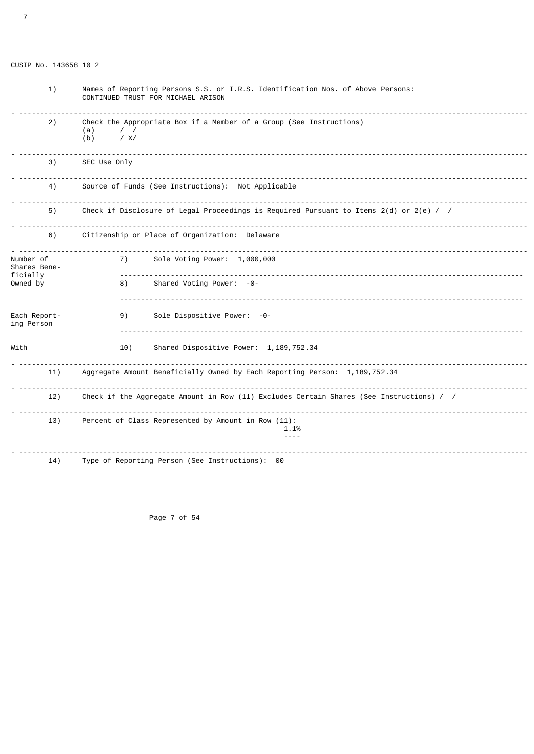| 1)                                    | Names of Reporting Persons S.S. or I.R.S. Identification Nos. of Above Persons:<br>CONTINUED TRUST FOR MICHAEL ARISON |  |  |  |
|---------------------------------------|-----------------------------------------------------------------------------------------------------------------------|--|--|--|
| 2)                                    | Check the Appropriate Box if a Member of a Group (See Instructions)<br>(a)<br>$\prime$ /<br>/ X/<br>(b)               |  |  |  |
| 3)                                    | SEC Use Only                                                                                                          |  |  |  |
| 4)                                    | Source of Funds (See Instructions): Not Applicable                                                                    |  |  |  |
| 5)                                    | Check if Disclosure of Legal Proceedings is Required Pursuant to Items $2(d)$ or $2(e)$ / /                           |  |  |  |
| 6)                                    | Citizenship or Place of Organization: Delaware                                                                        |  |  |  |
| Number of<br>Shares Bene-<br>ficially | Sole Voting Power: 1,000,000<br>7)<br><u>.</u>                                                                        |  |  |  |
| Owned by                              | Shared Voting Power: -0-<br>8)                                                                                        |  |  |  |
| Each Report-<br>ing Person            | Sole Dispositive Power: -0-<br>9)                                                                                     |  |  |  |
| With                                  | Shared Dispositive Power: 1, 189, 752.34<br>10)                                                                       |  |  |  |
| 11)                                   | Aggregate Amount Beneficially Owned by Each Reporting Person: 1,189,752.34                                            |  |  |  |
| 12)                                   | Check if the Aggregate Amount in Row (11) Excludes Certain Shares (See Instructions) / /                              |  |  |  |
| 13)                                   | Percent of Class Represented by Amount in Row (11):<br>1.1%<br>$- - - -$                                              |  |  |  |
| 14)                                   | Type of Reporting Person (See Instructions): 00                                                                       |  |  |  |

Page 7 of 54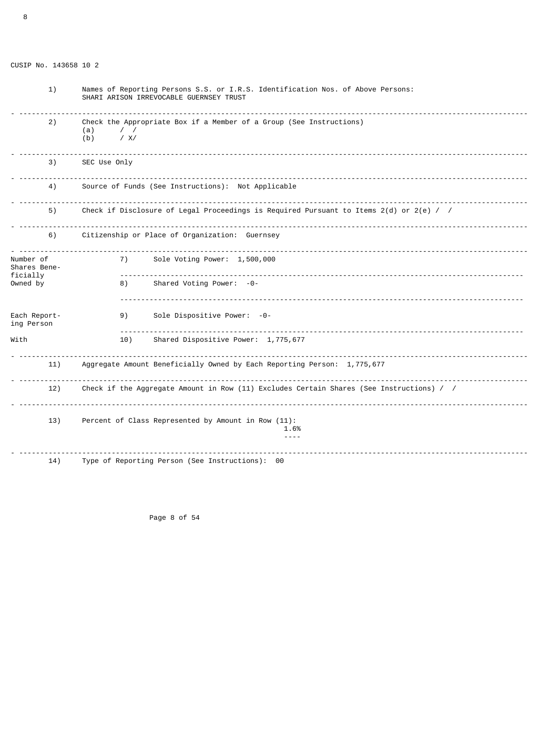| 1)                         | Names of Reporting Persons S.S. or I.R.S. Identification Nos. of Above Persons:<br>SHARI ARISON IRREVOCABLE GUERNSEY TRUST |              |                                                                                          |  |
|----------------------------|----------------------------------------------------------------------------------------------------------------------------|--------------|------------------------------------------------------------------------------------------|--|
| 2)                         | Check the Appropriate Box if a Member of a Group (See Instructions)<br>(a)<br>$\prime$ /<br>/ X/<br>(b)                    |              |                                                                                          |  |
| 3)                         |                                                                                                                            | SEC Use Only |                                                                                          |  |
| 4)                         | Source of Funds (See Instructions): Not Applicable                                                                         |              |                                                                                          |  |
| 5)                         | Check if Disclosure of Legal Proceedings is Required Pursuant to Items $2(d)$ or $2(e)$ / /                                |              |                                                                                          |  |
| 6)                         | Citizenship or Place of Organization: Guernsey                                                                             |              |                                                                                          |  |
| Number of<br>Shares Bene-  |                                                                                                                            | 7)           | Sole Voting Power: 1,500,000                                                             |  |
| ficially<br>Owned by       |                                                                                                                            | 8)           | Shared Voting Power: -0-                                                                 |  |
| Each Report-<br>ing Person |                                                                                                                            | 9)           | Sole Dispositive Power: -0-                                                              |  |
| With                       |                                                                                                                            | 10)          | Shared Dispositive Power: 1,775,677                                                      |  |
| 11)                        |                                                                                                                            |              | Aggregate Amount Beneficially Owned by Each Reporting Person: 1,775,677                  |  |
| 12)                        |                                                                                                                            |              | Check if the Aggregate Amount in Row (11) Excludes Certain Shares (See Instructions) / / |  |
| 13)                        |                                                                                                                            |              | Percent of Class Represented by Amount in Row (11):<br>1.6%<br>$- - - -$                 |  |
| 14)                        |                                                                                                                            |              | Type of Reporting Person (See Instructions): 00                                          |  |

Page 8 of 54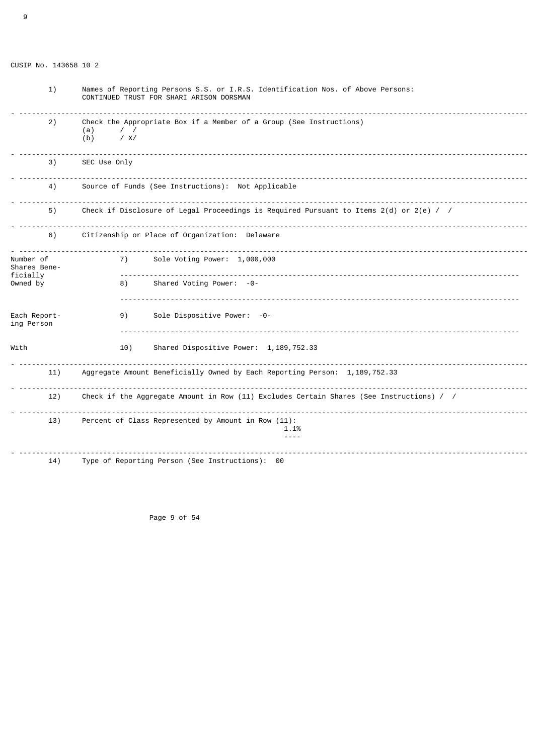9

 1) Names of Reporting Persons S.S. or I.R.S. Identification Nos. of Above Persons: CONTINUED TRUST FOR SHARI ARISON DORSMAN - ------------------------------------------------------------------------------------------------------------------------- 2) Check the Appropriate Box if a Member of a Group (See Instructions)  $(a)$  / / (b) / X/ - ------------------------------------------------------------------------------------------------------------------------- 3) SEC Use Only - ------------------------------------------------------------------------------------------------------------------------- Source of Funds (See Instructions): Not Applicable - ------------------------------------------------------------------------------------------------------------------------- Check if Disclosure of Legal Proceedings is Required Pursuant to Items 2(d) or 2(e) / / - ------------------------------------------------------------------------------------------------------------------------- 6) Citizenship or Place of Organization: Delaware - ------------------------------------------------------------------------------------------------------------------------- Sole Voting Power: 1,000,000 Shares Beneficially ----------------------------------------------------------------------------------------------- 8) Shared Voting Power: -0- ----------------------------------------------------------------------------------------------- Each Report- 9) Sole Dispositive Power: -0 ing Person ----------------------------------------------------------------------------------------------- With 10) Shared Dispositive Power: 1,189,752.33 - ------------------------------------------------------------------------------------------------------------------------- 11) Aggregate Amount Beneficially Owned by Each Reporting Person: 1,189,752.33 - ------------------------------------------------------------------------------------------------------------------------- 12) Check if the Aggregate Amount in Row (11) Excludes Certain Shares (See Instructions) / / - ------------------------------------------------------------------------------------------------------------------------- 13) Percent of Class Represented by Amount in Row (11): 1.1% ---- - ------------------------------------------------------------------------------------------------------------------------- 14) Type of Reporting Person (See Instructions): 00

Page 9 of 54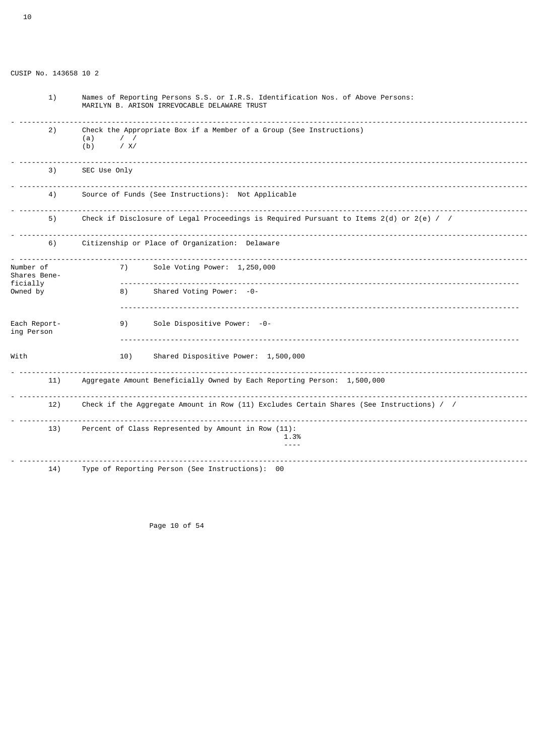CUSIP No. 143658 10 2 1) Names of Reporting Persons S.S. or I.R.S. Identification Nos. of Above Persons: MARILYN B. ARISON IRREVOCABLE DELAWARE TRUST - ------------------------------------------------------------------------------------------------------------------------- 2) Check the Appropriate Box if a Member of a Group (See Instructions)  $(a)$  / / (b) / X/ - ------------------------------------------------------------------------------------------------------------------------- SEC Use Only - ------------------------------------------------------------------------------------------------------------------------- 4) Source of Funds (See Instructions): Not Applicable - ------------------------------------------------------------------------------------------------------------------------- Check if Disclosure of Legal Proceedings is Required Pursuant to Items 2(d) or 2(e) / / - ------------------------------------------------------------------------------------------------------------------------- Citizenship or Place of Organization: Delaware - ------------------------------------------------------------------------------------------------------------------------- 7) Sole Voting Power: 1,250,000 Shares Bene-<br>ficially ficially ----------------------------------------------------------------------------------------------- Shared Voting Power: -0- ----------------------------------------------------------------------------------------------- Each Report- 9) Sole Dispositive Power: -0ing Person ----------------------------------------------------------------------------------------------- With  $10)$  Shared Dispositive Power: 1,500,000 - ------------------------------------------------------------------------------------------------------------------------- 11) Aggregate Amount Beneficially Owned by Each Reporting Person: 1,500,000 - ------------------------------------------------------------------------------------------------------------------------- Check if the Aggregate Amount in Row (11) Excludes Certain Shares (See Instructions) / / - ------------------------------------------------------------------------------------------------------------------------- 13) Percent of Class Represented by Amount in Row (11): 1.3% ---- - ------------------------------------------------------------------------------------------------------------------------- 14) Type of Reporting Person (See Instructions): 00

Page 10 of 54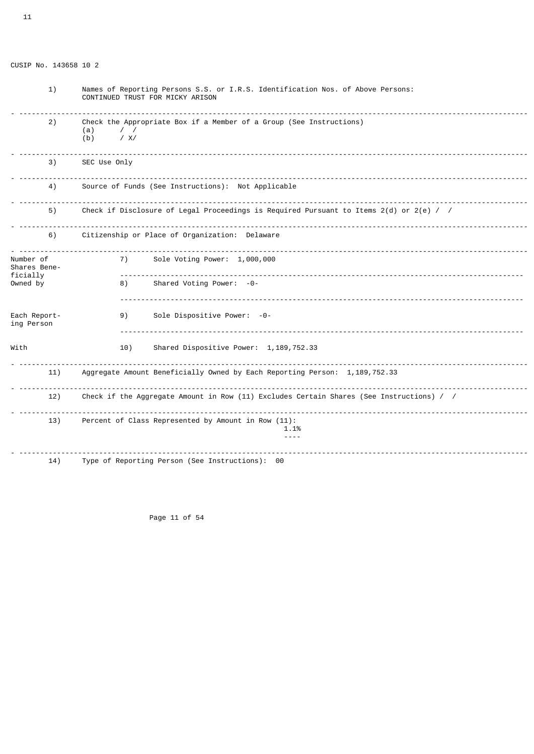| 1)                         | Names of Reporting Persons S.S. or I.R.S. Identification Nos. of Above Persons:<br>CONTINUED TRUST FOR MICKY ARISON |  |  |  |  |
|----------------------------|---------------------------------------------------------------------------------------------------------------------|--|--|--|--|
| 2)                         | Check the Appropriate Box if a Member of a Group (See Instructions)<br>(a)<br>$\prime$ /<br>/ X/<br>(b)             |  |  |  |  |
| 3)                         | SEC Use Only                                                                                                        |  |  |  |  |
| 4)                         | Source of Funds (See Instructions): Not Applicable                                                                  |  |  |  |  |
| 5)                         | Check if Disclosure of Legal Proceedings is Required Pursuant to Items $2(d)$ or $2(e)$ / /                         |  |  |  |  |
| 6)                         | Citizenship or Place of Organization: Delaware                                                                      |  |  |  |  |
| Number of<br>Shares Bene-  | .<br>Sole Voting Power: 1,000,000<br>7)                                                                             |  |  |  |  |
| ficially<br>Owned by       | Shared Voting Power: -0-<br>8)                                                                                      |  |  |  |  |
| Each Report-<br>ing Person | Sole Dispositive Power: -0-<br>9)                                                                                   |  |  |  |  |
| With                       | 10)<br>Shared Dispositive Power: 1, 189, 752.33                                                                     |  |  |  |  |
| 11)                        | Aggregate Amount Beneficially Owned by Each Reporting Person: 1,189,752.33                                          |  |  |  |  |
| 12)                        | Check if the Aggregate Amount in Row (11) Excludes Certain Shares (See Instructions) / /                            |  |  |  |  |
| 13)                        | Percent of Class Represented by Amount in Row (11):<br>1.1%<br>$- - - -$                                            |  |  |  |  |
| 14)                        | Type of Reporting Person (See Instructions): 00                                                                     |  |  |  |  |

Page 11 of 54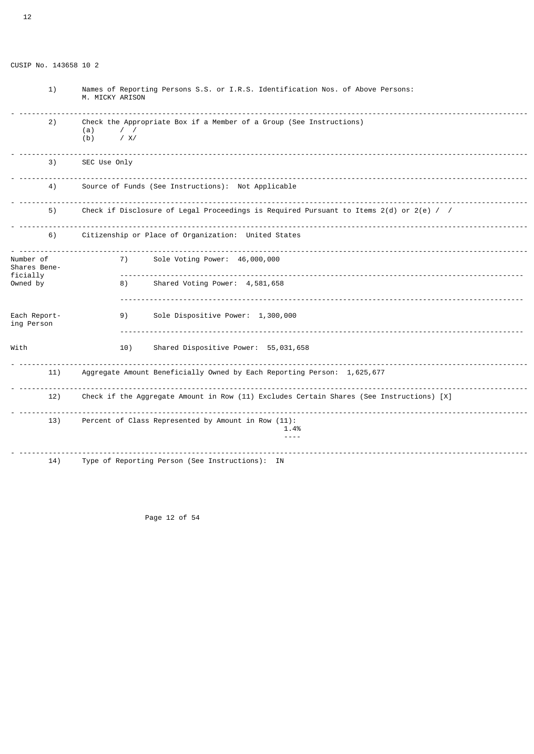| 1)                         | Names of Reporting Persons S.S. or I.R.S. Identification Nos. of Above Persons:<br>M. MICKY ARISON |                                                                                             |  |  |
|----------------------------|----------------------------------------------------------------------------------------------------|---------------------------------------------------------------------------------------------|--|--|
| 2)                         | (a)<br>$\prime$ /<br>(b)<br>/ X/                                                                   | Check the Appropriate Box if a Member of a Group (See Instructions)                         |  |  |
| 3)                         | SEC Use Only                                                                                       |                                                                                             |  |  |
| 4)                         | Source of Funds (See Instructions): Not Applicable                                                 |                                                                                             |  |  |
| 5)                         |                                                                                                    | Check if Disclosure of Legal Proceedings is Required Pursuant to Items $2(d)$ or $2(e)$ / / |  |  |
| 6)                         |                                                                                                    | Citizenship or Place of Organization: United States                                         |  |  |
| Number of<br>Shares Bene-  | 7)                                                                                                 | Sole Voting Power: 46,000,000                                                               |  |  |
| ficially<br>Owned by       | 8)                                                                                                 | Shared Voting Power: 4,581,658                                                              |  |  |
| Each Report-<br>ing Person | 9)                                                                                                 | Sole Dispositive Power: 1,300,000                                                           |  |  |
| With                       | 10)                                                                                                | Shared Dispositive Power: 55,031,658                                                        |  |  |
| 11)                        |                                                                                                    | Aggregate Amount Beneficially Owned by Each Reporting Person: 1,625,677                     |  |  |
| 12)                        | Check if the Aggregate Amount in Row (11) Excludes Certain Shares (See Instructions) [X]           |                                                                                             |  |  |
| 13)                        | Percent of Class Represented by Amount in Row (11):<br>1.4%                                        |                                                                                             |  |  |
| 14)                        |                                                                                                    | Type of Reporting Person (See Instructions): IN                                             |  |  |

Page 12 of 54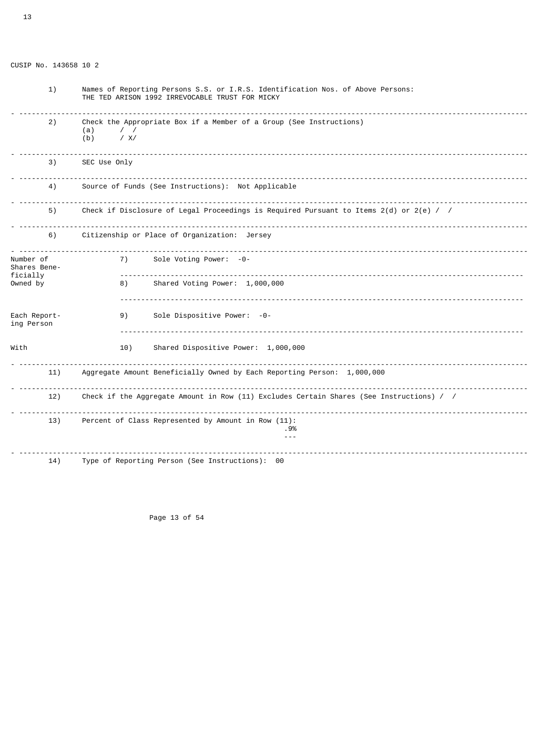| 1)                                    | Names of Reporting Persons S.S. or I.R.S. Identification Nos. of Above Persons:<br>THE TED ARISON 1992 IRREVOCABLE TRUST FOR MICKY |  |  |  |  |
|---------------------------------------|------------------------------------------------------------------------------------------------------------------------------------|--|--|--|--|
| 2)                                    | Check the Appropriate Box if a Member of a Group (See Instructions)<br>(a)<br>/ X/<br>(b)                                          |  |  |  |  |
| 3)                                    | SEC Use Only                                                                                                                       |  |  |  |  |
| 4)                                    | Source of Funds (See Instructions): Not Applicable                                                                                 |  |  |  |  |
| 5)                                    | Check if Disclosure of Legal Proceedings is Required Pursuant to Items $2(d)$ or $2(e)$ / /                                        |  |  |  |  |
| 6)                                    | Citizenship or Place of Organization: Jersey                                                                                       |  |  |  |  |
| Number of<br>Shares Bene-<br>ficially | Sole Voting Power: -0-<br>7)                                                                                                       |  |  |  |  |
| Owned by                              | Shared Voting Power: 1,000,000<br>8)                                                                                               |  |  |  |  |

 ------------------------------------------------------------------------------------------------ Each Report- 9) Sole Dispositive Power: -0ing Person ------------------------------------------------------------------------------------------------ With  $10)$  Shared Dispositive Power: 1,000,000 - ------------------------------------------------------------------------------------------------------------------------- 11) Aggregate Amount Beneficially Owned by Each Reporting Person: 1,000,000 - ------------------------------------------------------------------------------------------------------------------------- Check if the Aggregate Amount in Row (11) Excludes Certain Shares (See Instructions) / / - ------------------------------------------------------------------------------------------------------------------------- 13) Percent of Class Represented by Amount in Row (11): .9% --- - -------------------------------------------------------------------------------------------------------------------------

14) Type of Reporting Person (See Instructions): 00

Page 13 of 54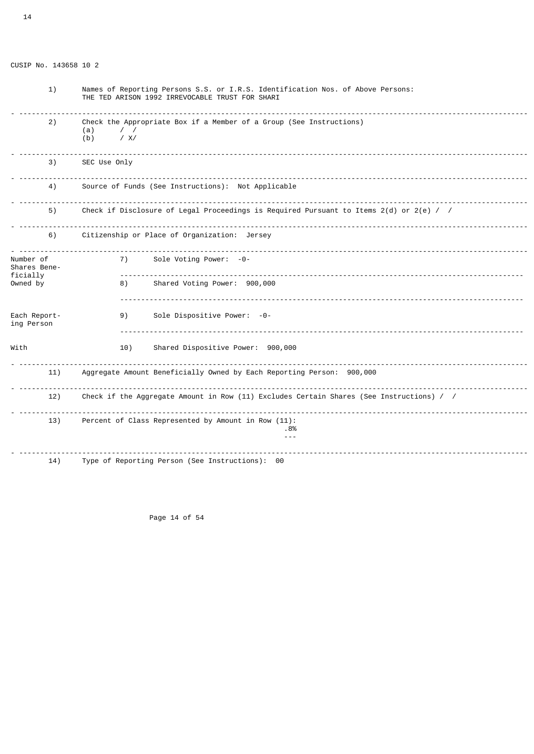|  | CUSIP No. 143658 10 2 |  |  |
|--|-----------------------|--|--|
|  |                       |  |  |

| 1)                         | Names of Reporting Persons S.S. or I.R.S. Identification Nos. of Above Persons:<br>THE TED ARISON 1992 IRREVOCABLE TRUST FOR SHARI |  |  |  |  |
|----------------------------|------------------------------------------------------------------------------------------------------------------------------------|--|--|--|--|
| 2)                         | Check the Appropriate Box if a Member of a Group (See Instructions)<br>(a)<br>$\prime$ /<br>/ X/<br>(b)                            |  |  |  |  |
| 3)                         | SEC Use Only                                                                                                                       |  |  |  |  |
| 4)                         | Source of Funds (See Instructions): Not Applicable                                                                                 |  |  |  |  |
| 5)                         | Check if Disclosure of Legal Proceedings is Required Pursuant to Items $2(d)$ or $2(e)$ / /                                        |  |  |  |  |
| 6)                         | Citizenship or Place of Organization: Jersey                                                                                       |  |  |  |  |
| Number of<br>Shares Bene-  | 7)<br>Sole Voting Power: -0-                                                                                                       |  |  |  |  |
| ficially<br>Owned by       | Shared Voting Power: 900,000<br>8)                                                                                                 |  |  |  |  |
| Each Report-<br>ing Person | Sole Dispositive Power: -0-<br>9)                                                                                                  |  |  |  |  |
| With                       | Shared Dispositive Power: 900,000<br>10)                                                                                           |  |  |  |  |
| 11)                        | <u>.</u><br>Aggregate Amount Beneficially Owned by Each Reporting Person: 900,000                                                  |  |  |  |  |
| 12)                        | Check if the Aggregate Amount in Row (11) Excludes Certain Shares (See Instructions) / /                                           |  |  |  |  |
| 13)                        | Percent of Class Represented by Amount in Row (11):<br>. 8%<br>$- - -$                                                             |  |  |  |  |
| 14)                        | Type of Reporting Person (See Instructions): 00                                                                                    |  |  |  |  |

Page 14 of 54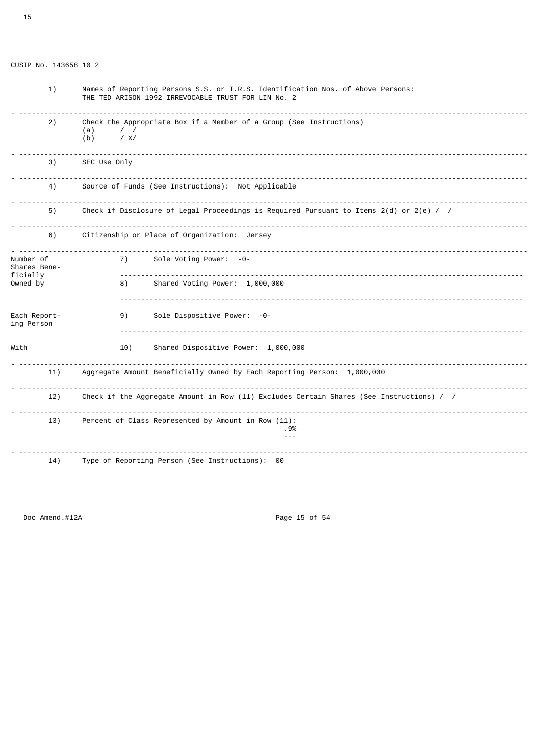| 1)                         | Names of Reporting Persons S.S. or I.R.S. Identification Nos. of Above Persons:<br>THE TED ARISON 1992 IRREVOCABLE TRUST FOR LIN No. 2 |  |  |  |  |
|----------------------------|----------------------------------------------------------------------------------------------------------------------------------------|--|--|--|--|
| 2)                         | Check the Appropriate Box if a Member of a Group (See Instructions)<br>(a)<br>$\prime$ /<br>/ X/<br>(b)                                |  |  |  |  |
| 3)                         | SEC Use Only                                                                                                                           |  |  |  |  |
| 4)                         | Source of Funds (See Instructions): Not Applicable                                                                                     |  |  |  |  |
| 5)                         | Check if Disclosure of Legal Proceedings is Required Pursuant to Items $2(d)$ or $2(e)$ / /                                            |  |  |  |  |
| 6)                         | Citizenship or Place of Organization: Jersey                                                                                           |  |  |  |  |
| Number of<br>Shares Bene-  | Sole Voting Power: -0-<br>7)                                                                                                           |  |  |  |  |
| ficially<br>Owned by       | Shared Voting Power: 1,000,000<br>8)                                                                                                   |  |  |  |  |
| Each Report-<br>ing Person | Sole Dispositive Power: -0-<br>9)                                                                                                      |  |  |  |  |
| With                       | 10)<br>Shared Dispositive Power: 1,000,000                                                                                             |  |  |  |  |
| 11)                        | Aggregate Amount Beneficially Owned by Each Reporting Person: 1,000,000                                                                |  |  |  |  |
| 12)                        | Check if the Aggregate Amount in Row (11) Excludes Certain Shares (See Instructions) / /                                               |  |  |  |  |
| 13)                        | Percent of Class Represented by Amount in Row (11):<br>. 9%                                                                            |  |  |  |  |
| 14)                        | Type of Reporting Person (See Instructions): 00                                                                                        |  |  |  |  |

Doc Amend.#12A Page 15 of 54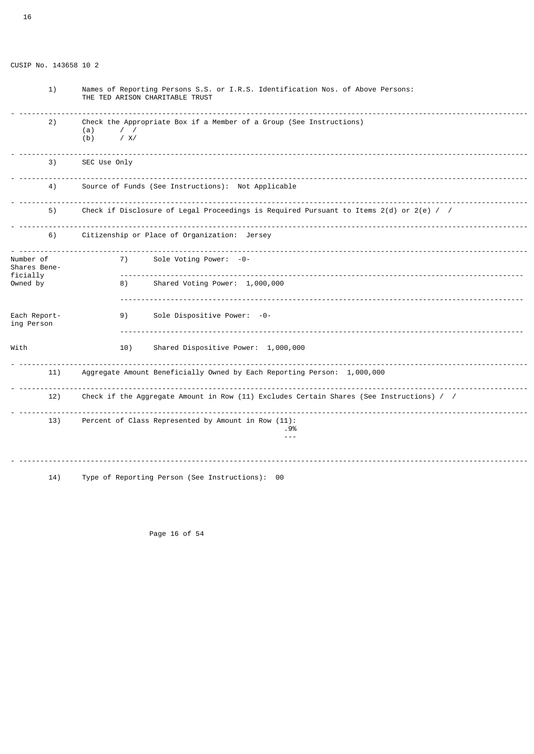| 1)                                                | Names of Reporting Persons S.S. or I.R.S. Identification Nos. of Above Persons:<br>THE TED ARISON CHARITABLE TRUST |  |
|---------------------------------------------------|--------------------------------------------------------------------------------------------------------------------|--|
| 2)                                                | Check the Appropriate Box if a Member of a Group (See Instructions)<br>(a)<br>$\prime$ /<br>(b)<br>/ X/            |  |
| 3)                                                | SEC Use Only                                                                                                       |  |
| 4)                                                | Source of Funds (See Instructions): Not Applicable                                                                 |  |
| 5)                                                | .<br>Check if Disclosure of Legal Proceedings is Required Pursuant to Items $2(d)$ or $2(e)$ / /                   |  |
| 6)                                                | Citizenship or Place of Organization: Jersey                                                                       |  |
| Number of<br>Shares Bene-<br>ficially<br>Owned by | 7)<br>Sole Voting Power: -0-<br>Shared Voting Power: 1,000,000<br>8)                                               |  |
| Each Report-<br>ing Person                        | Sole Dispositive Power: -0-<br>9)                                                                                  |  |
| With                                              | Shared Dispositive Power: 1,000,000<br>10)                                                                         |  |
| 11)                                               | Aggregate Amount Beneficially Owned by Each Reporting Person: 1,000,000                                            |  |
| 12)                                               | Check if the Aggregate Amount in Row (11) Excludes Certain Shares (See Instructions) / /                           |  |
| 13)                                               | Percent of Class Represented by Amount in Row (11):<br>. 9%<br>$- - -$                                             |  |
| 14)                                               | Type of Reporting Person (See Instructions): 00                                                                    |  |

Page 16 of 54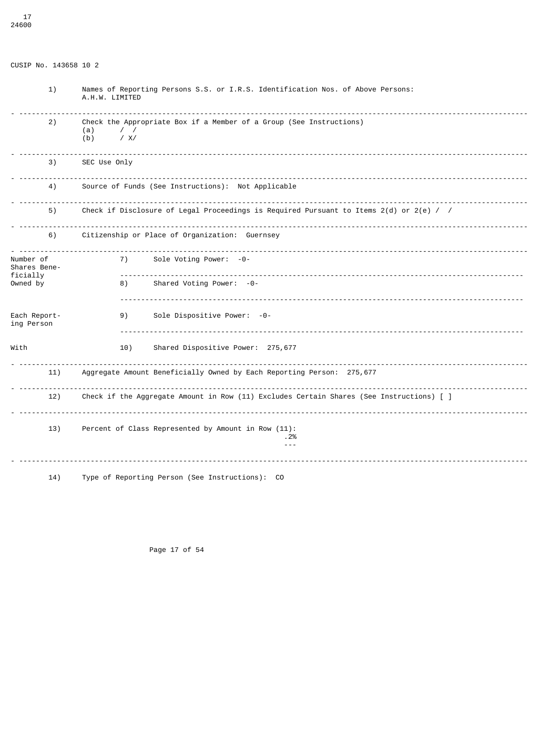| 1)                         | Names of Reporting Persons S.S. or I.R.S. Identification Nos. of Above Persons:<br>A.H.W. LIMITED       |  |  |
|----------------------------|---------------------------------------------------------------------------------------------------------|--|--|
| 2)                         | Check the Appropriate Box if a Member of a Group (See Instructions)<br>(a)<br>$\prime$ /<br>/ X/<br>(b) |  |  |
| 3)                         | SEC Use Only                                                                                            |  |  |
| 4)                         | Source of Funds (See Instructions): Not Applicable                                                      |  |  |
| 5)                         | Check if Disclosure of Legal Proceedings is Required Pursuant to Items $2(d)$ or $2(e)$ / /             |  |  |
| 6)                         | Citizenship or Place of Organization: Guernsey                                                          |  |  |
| Number of<br>Shares Bene-  | Sole Voting Power: -0-<br>7)                                                                            |  |  |
| ficially<br>Owned by       | Shared Voting Power: -0-<br>8)                                                                          |  |  |
| Each Report-<br>ing Person | Sole Dispositive Power: -0-<br>9)                                                                       |  |  |
| With                       | Shared Dispositive Power: 275,677<br>10)                                                                |  |  |
| 11)                        | Aggregate Amount Beneficially Owned by Each Reporting Person: 275,677                                   |  |  |
| 12)                        | Check if the Aggregate Amount in Row (11) Excludes Certain Shares (See Instructions) [ ]                |  |  |
| 13)                        | Percent of Class Represented by Amount in Row (11):<br>.2%<br>$- - -$                                   |  |  |
| 14)                        | Type of Reporting Person (See Instructions): CO                                                         |  |  |

Page 17 of 54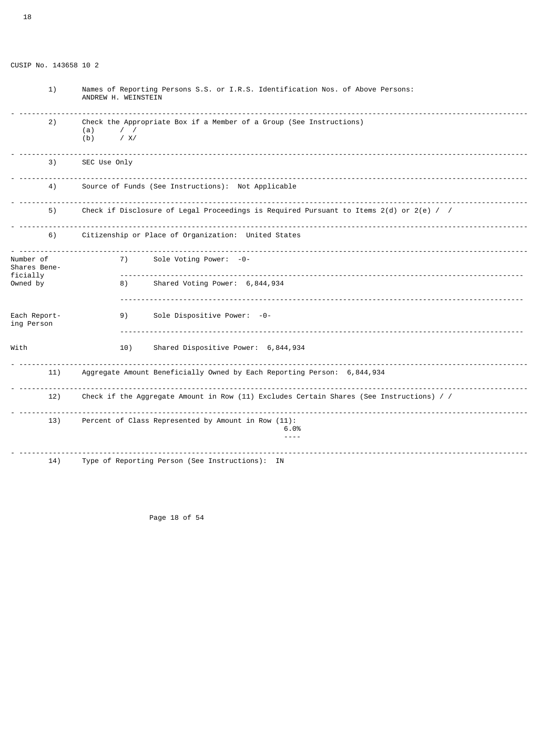| 1)                         | Names of Reporting Persons S.S. or I.R.S. Identification Nos. of Above Persons:<br>ANDREW H. WEINSTEIN  |  |  |
|----------------------------|---------------------------------------------------------------------------------------------------------|--|--|
| 2)                         | Check the Appropriate Box if a Member of a Group (See Instructions)<br>(a)<br>$\prime$ /<br>/ X/<br>(b) |  |  |
| 3)                         | SEC Use Only                                                                                            |  |  |
| 4)                         | Source of Funds (See Instructions): Not Applicable                                                      |  |  |
| 5)                         | Check if Disclosure of Legal Proceedings is Required Pursuant to Items $2(d)$ or $2(e)$ / /             |  |  |
| 6)                         | Citizenship or Place of Organization: United States                                                     |  |  |
| Number of<br>Shares Bene-  | 7)<br>Sole Voting Power: -0-                                                                            |  |  |
| ficially<br>Owned by       | Shared Voting Power: 6,844,934<br>8)                                                                    |  |  |
| Each Report-<br>ing Person | Sole Dispositive Power: -0-<br>9)                                                                       |  |  |
| With                       | Shared Dispositive Power: 6,844,934<br>10)                                                              |  |  |
| 11)                        | .<br>Aggregate Amount Beneficially Owned by Each Reporting Person: 6,844,934                            |  |  |
| 12)                        | Check if the Aggregate Amount in Row (11) Excludes Certain Shares (See Instructions) / /                |  |  |
| 13)                        | Percent of Class Represented by Amount in Row (11):<br>6.0%<br>$- - - -$                                |  |  |
| 14)                        | Type of Reporting Person (See Instructions): IN                                                         |  |  |

Page 18 of 54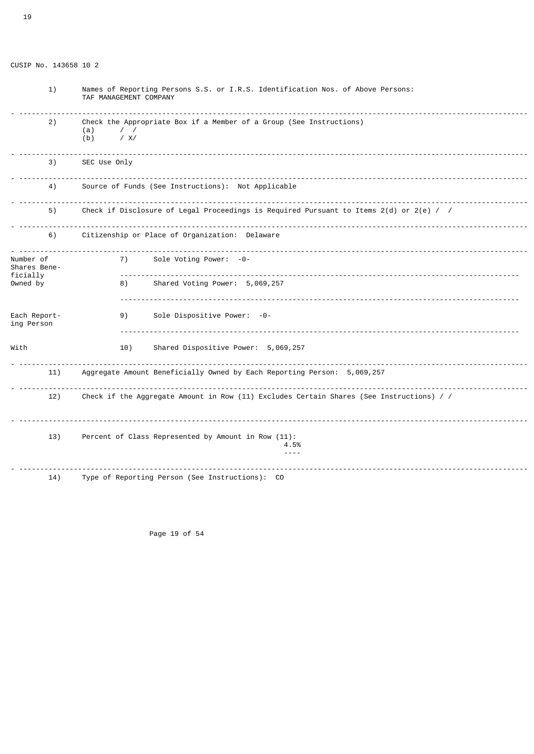19

| 1)                                    | Names of Reporting Persons S.S. or I.R.S. Identification Nos. of Above Persons:<br>TAF MANAGEMENT COMPANY |  |  |
|---------------------------------------|-----------------------------------------------------------------------------------------------------------|--|--|
| 2)                                    | Check the Appropriate Box if a Member of a Group (See Instructions)<br>$\prime$ /<br>(a)<br>/ X/<br>(b)   |  |  |
| 3)                                    | SEC Use Only                                                                                              |  |  |
| 4)                                    | Source of Funds (See Instructions): Not Applicable                                                        |  |  |
| 5)                                    | Check if Disclosure of Legal Proceedings is Required Pursuant to Items $2(d)$ or $2(e)$ / /               |  |  |
| 6)                                    | Citizenship or Place of Organization: Delaware                                                            |  |  |
| Number of<br>Shares Bene-<br>ficially | Sole Voting Power: -0-<br>7)                                                                              |  |  |
| Owned by                              | Shared Voting Power: 5,069,257<br>8)                                                                      |  |  |
| Each Report-<br>ing Person            | Sole Dispositive Power: -0-<br>9)                                                                         |  |  |
| With                                  | Shared Dispositive Power: 5,069,257<br>10)                                                                |  |  |
| 11)                                   | Aggregate Amount Beneficially Owned by Each Reporting Person: 5,069,257                                   |  |  |
| 12)                                   | Check if the Aggregate Amount in Row (11) Excludes Certain Shares (See Instructions) / /                  |  |  |
| 13)                                   | Percent of Class Represented by Amount in Row (11):<br>4.5%<br>$- - - -$                                  |  |  |
| 14)                                   | Type of Reporting Person (See Instructions): CO                                                           |  |  |

Page 19 of 54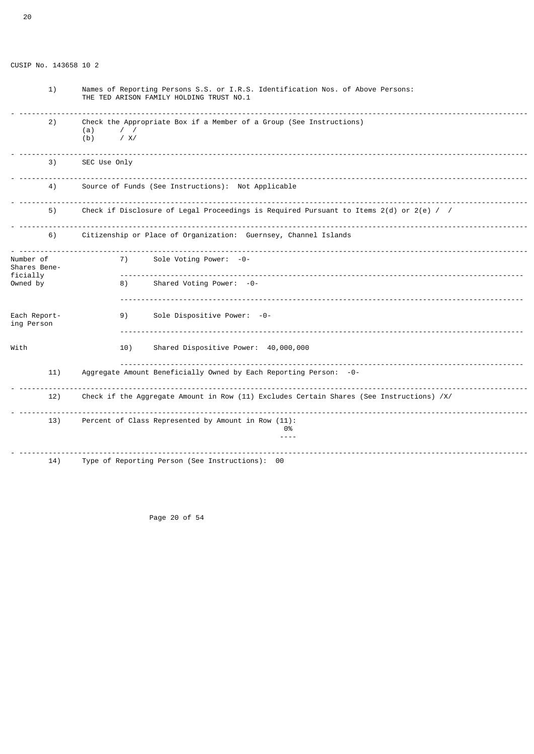| 1)                                    | Names of Reporting Persons S.S. or I.R.S. Identification Nos. of Above Persons:<br>THE TED ARISON FAMILY HOLDING TRUST NO.1 |  |
|---------------------------------------|-----------------------------------------------------------------------------------------------------------------------------|--|
| 2)                                    | Check the Appropriate Box if a Member of a Group (See Instructions)<br>(a)<br>$\prime$ $\prime$<br>/ X/<br>(b)              |  |
| 3)                                    | SEC Use Only                                                                                                                |  |
| 4)                                    | Source of Funds (See Instructions): Not Applicable                                                                          |  |
| 5)                                    | Check if Disclosure of Legal Proceedings is Required Pursuant to Items 2(d) or 2(e) / /                                     |  |
| 6)                                    | Citizenship or Place of Organization: Guernsey, Channel Islands                                                             |  |
| Number of<br>Shares Bene-<br>ficially | Sole Voting Power: -0-<br>7)                                                                                                |  |
| Owned by                              | Shared Voting Power: -0-<br>8)                                                                                              |  |
| Each Report-<br>ing Person            | Sole Dispositive Power: -0-<br>9)                                                                                           |  |
| With                                  | Shared Dispositive Power: 40,000,000<br>10)                                                                                 |  |
| 11)                                   | Aggregate Amount Beneficially Owned by Each Reporting Person: -0-                                                           |  |
| 12)                                   | Check if the Aggregate Amount in Row (11) Excludes Certain Shares (See Instructions) /X/                                    |  |
| 13)                                   | Percent of Class Represented by Amount in Row (11):<br>0%<br>$- - - -$                                                      |  |
| 14)                                   | Type of Reporting Person (See Instructions): 00                                                                             |  |

Page 20 of 54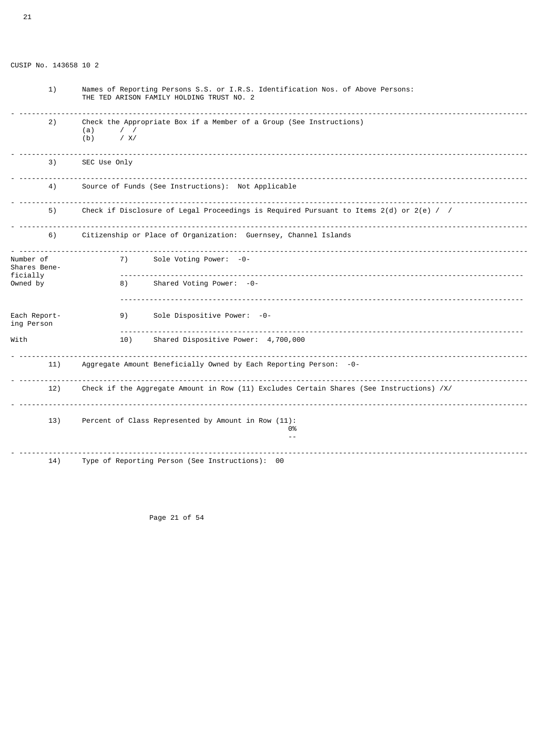| 1)                                    | Names of Reporting Persons S.S. or I.R.S. Identification Nos. of Above Persons:<br>THE TED ARISON FAMILY HOLDING TRUST NO. 2 |  |
|---------------------------------------|------------------------------------------------------------------------------------------------------------------------------|--|
| 2)                                    | Check the Appropriate Box if a Member of a Group (See Instructions)<br>(a)<br>$\prime$ /<br>/ X/<br>(b)                      |  |
| 3)                                    | SEC Use Only                                                                                                                 |  |
| 4)                                    | Source of Funds (See Instructions): Not Applicable                                                                           |  |
| 5)                                    | Check if Disclosure of Legal Proceedings is Required Pursuant to Items $2(d)$ or $2(e)$ / /                                  |  |
| 6)                                    | Citizenship or Place of Organization: Guernsey, Channel Islands                                                              |  |
| Number of<br>Shares Bene-<br>ficially | <u>.</u><br>Sole Voting Power: -0-<br>7)                                                                                     |  |
| Owned by                              | Shared Voting Power: -0-<br>8)                                                                                               |  |
| Each Report-<br>ing Person            | Sole Dispositive Power: -0-<br>9)                                                                                            |  |
| With                                  | Shared Dispositive Power: 4,700,000<br>10)                                                                                   |  |
| 11)                                   | Aggregate Amount Beneficially Owned by Each Reporting Person: -0-                                                            |  |
| 12)                                   | Check if the Aggregate Amount in Row (11) Excludes Certain Shares (See Instructions) /X/                                     |  |
| 13)                                   | Percent of Class Represented by Amount in Row (11):<br>0%                                                                    |  |
| 14)                                   | Type of Reporting Person (See Instructions): 00                                                                              |  |

Page 21 of 54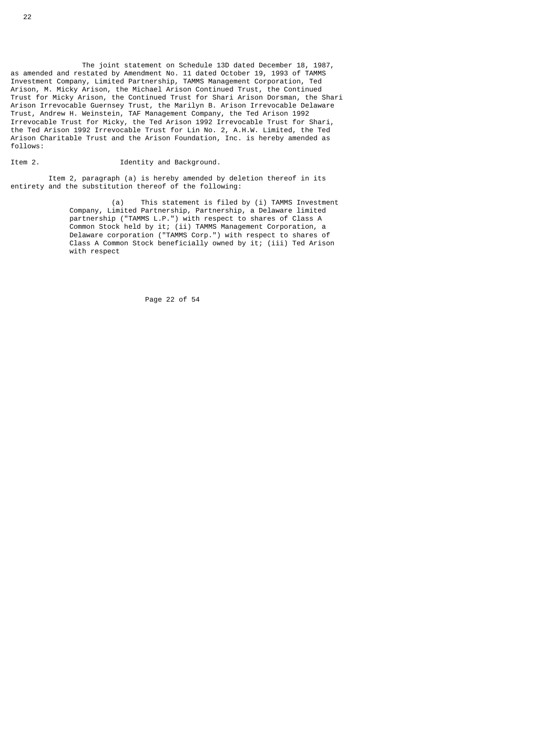The joint statement on Schedule 13D dated December 18, 1987, as amended and restated by Amendment No. 11 dated October 19, 1993 of TAMMS Investment Company, Limited Partnership, TAMMS Management Corporation, Ted Arison, M. Micky Arison, the Michael Arison Continued Trust, the Continued Trust for Micky Arison, the Continued Trust for Shari Arison Dorsman, the Shari Arison Irrevocable Guernsey Trust, the Marilyn B. Arison Irrevocable Delaware Trust, Andrew H. Weinstein, TAF Management Company, the Ted Arison 1992 Irrevocable Trust for Micky, the Ted Arison 1992 Irrevocable Trust for Shari, the Ted Arison 1992 Irrevocable Trust for Lin No. 2, A.H.W. Limited, the Ted Arison Charitable Trust and the Arison Foundation, Inc. is hereby amended as follows:

# Item 2. **IDENTIFY 2.** Identity and Background.

 Item 2, paragraph (a) is hereby amended by deletion thereof in its entirety and the substitution thereof of the following:

 (a) This statement is filed by (i) TAMMS Investment Company, Limited Partnership, Partnership, a Delaware limited partnership ("TAMMS L.P.") with respect to shares of Class A Common Stock held by it; (ii) TAMMS Management Corporation, a Delaware corporation ("TAMMS Corp.") with respect to shares of Class A Common Stock beneficially owned by it; (iii) Ted Arison with respect

Page 22 of 54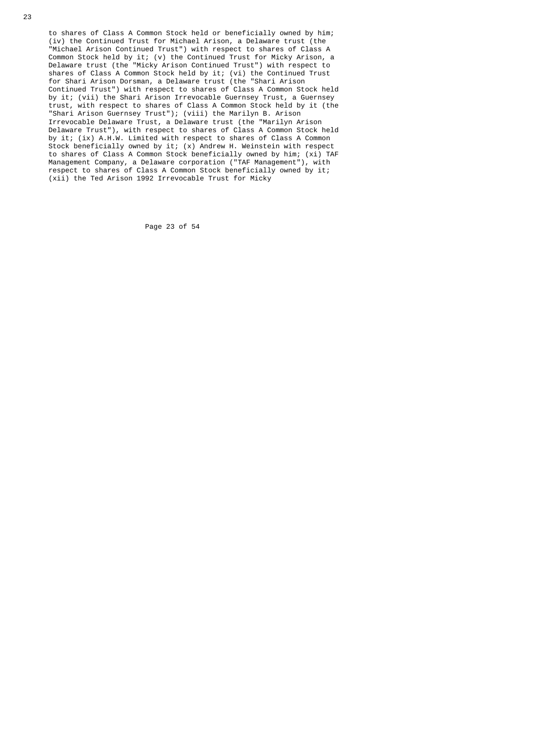to shares of Class A Common Stock held or beneficially owned by him; (iv) the Continued Trust for Michael Arison, a Delaware trust (the "Michael Arison Continued Trust") with respect to shares of Class A Common Stock held by it; (v) the Continued Trust for Micky Arison, a Delaware trust (the "Micky Arison Continued Trust") with respect to shares of Class A Common Stock held by it; (vi) the Continued Trust for Shari Arison Dorsman, a Delaware trust (the "Shari Arison Continued Trust") with respect to shares of Class A Common Stock held by it; (vii) the Shari Arison Irrevocable Guernsey Trust, a Guernsey trust, with respect to shares of Class A Common Stock held by it (the "Shari Arison Guernsey Trust"); (viii) the Marilyn B. Arison Irrevocable Delaware Trust, a Delaware trust (the "Marilyn Arison Delaware Trust"), with respect to shares of Class A Common Stock held by it; (ix) A.H.W. Limited with respect to shares of Class A Common Stock beneficially owned by it; (x) Andrew H. Weinstein with respect to shares of Class A Common Stock beneficially owned by him; (xi) TAF Management Company, a Delaware corporation ("TAF Management"), with respect to shares of Class A Common Stock beneficially owned by it; (xii) the Ted Arison 1992 Irrevocable Trust for Micky

Page 23 of 54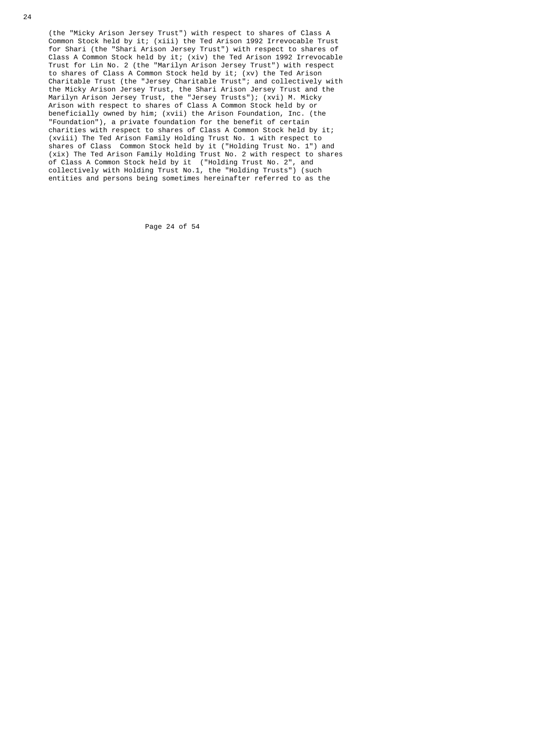(the "Micky Arison Jersey Trust") with respect to shares of Class A Common Stock held by it; (xiii) the Ted Arison 1992 Irrevocable Trust for Shari (the "Shari Arison Jersey Trust") with respect to shares of Class A Common Stock held by it; (xiv) the Ted Arison 1992 Irrevocable Trust for Lin No. 2 (the "Marilyn Arison Jersey Trust") with respect to shares of Class A Common Stock held by it; (xv) the Ted Arison Charitable Trust (the "Jersey Charitable Trust"; and collectively with the Micky Arison Jersey Trust, the Shari Arison Jersey Trust and the Marilyn Arison Jersey Trust, the "Jersey Trusts"); (xvi) M. Micky Arison with respect to shares of Class A Common Stock held by or beneficially owned by him; (xvii) the Arison Foundation, Inc. (the "Foundation"), a private foundation for the benefit of certain charities with respect to shares of Class A Common Stock held by it; (xviii) The Ted Arison Family Holding Trust No. 1 with respect to shares of Class Common Stock held by it ("Holding Trust No. 1") and (xix) The Ted Arison Family Holding Trust No. 2 with respect to shares of Class A Common Stock held by it ("Holding Trust No. 2", and collectively with Holding Trust No.1, the "Holding Trusts") (such entities and persons being sometimes hereinafter referred to as the

Page 24 of 54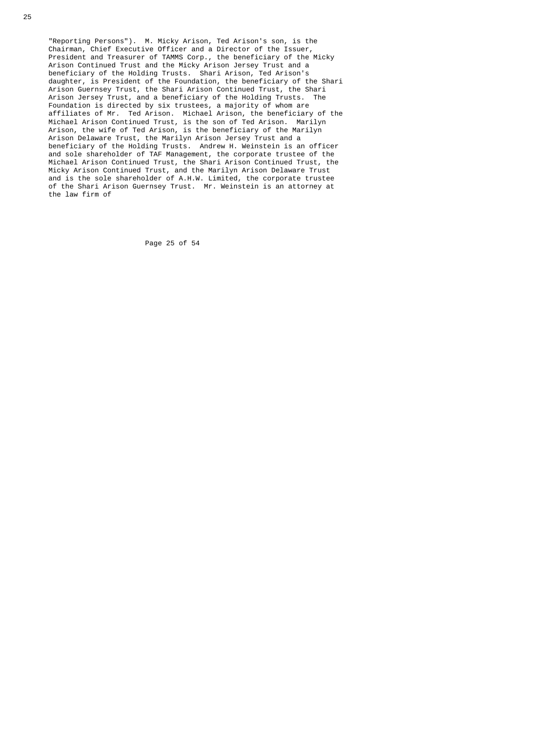"Reporting Persons"). M. Micky Arison, Ted Arison's son, is the Chairman, Chief Executive Officer and a Director of the Issuer, President and Treasurer of TAMMS Corp., the beneficiary of the Micky Arison Continued Trust and the Micky Arison Jersey Trust and a beneficiary of the Holding Trusts. Shari Arison, Ted Arison's daughter, is President of the Foundation, the beneficiary of the Shari Arison Guernsey Trust, the Shari Arison Continued Trust, the Shari Arison Jersey Trust, and a beneficiary of the Holding Trusts. The Foundation is directed by six trustees, a majority of whom are affiliates of Mr. Ted Arison. Michael Arison, the beneficiary of the Michael Arison Continued Trust, is the son of Ted Arison. Marilyn Arison, the wife of Ted Arison, is the beneficiary of the Marilyn Arison Delaware Trust, the Marilyn Arison Jersey Trust and a beneficiary of the Holding Trusts. Andrew H. Weinstein is an officer and sole shareholder of TAF Management, the corporate trustee of the Michael Arison Continued Trust, the Shari Arison Continued Trust, the Micky Arison Continued Trust, and the Marilyn Arison Delaware Trust and is the sole shareholder of A.H.W. Limited, the corporate trustee of the Shari Arison Guernsey Trust. Mr. Weinstein is an attorney at the law firm of

Page 25 of 54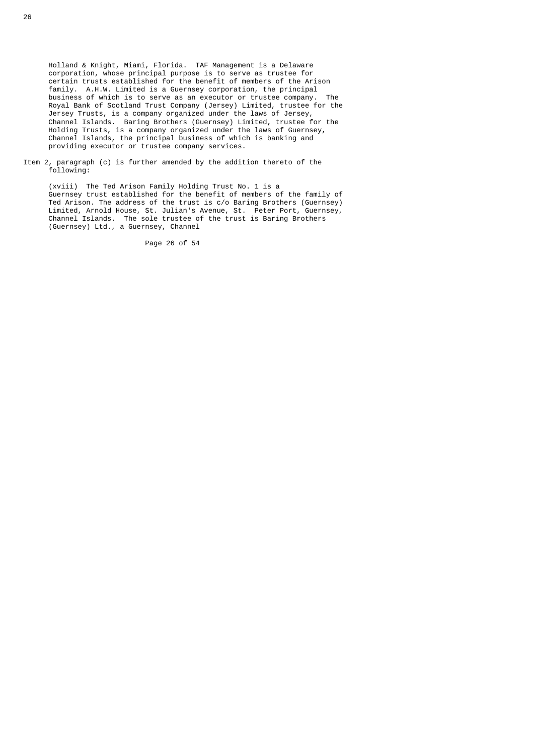Holland & Knight, Miami, Florida. TAF Management is a Delaware corporation, whose principal purpose is to serve as trustee for certain trusts established for the benefit of members of the Arison family. A.H.W. Limited is a Guernsey corporation, the principal business of which is to serve as an executor or trustee company. The Royal Bank of Scotland Trust Company (Jersey) Limited, trustee for the Jersey Trusts, is a company organized under the laws of Jersey, Channel Islands. Baring Brothers (Guernsey) Limited, trustee for the Holding Trusts, is a company organized under the laws of Guernsey, Channel Islands, the principal business of which is banking and providing executor or trustee company services.

 Item 2, paragraph (c) is further amended by the addition thereto of the following:

 (xviii) The Ted Arison Family Holding Trust No. 1 is a Guernsey trust established for the benefit of members of the family of Ted Arison. The address of the trust is c/o Baring Brothers (Guernsey) Limited, Arnold House, St. Julian's Avenue, St. Peter Port, Guernsey, Channel Islands. The sole trustee of the trust is Baring Brothers (Guernsey) Ltd., a Guernsey, Channel

Page 26 of 54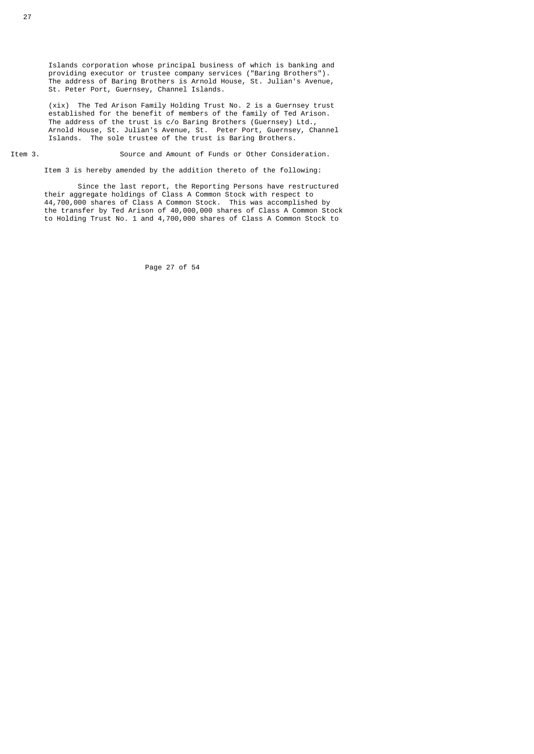Islands corporation whose principal business of which is banking and providing executor or trustee company services ("Baring Brothers"). The address of Baring Brothers is Arnold House, St. Julian's Avenue, St. Peter Port, Guernsey, Channel Islands.

 (xix) The Ted Arison Family Holding Trust No. 2 is a Guernsey trust established for the benefit of members of the family of Ted Arison. The address of the trust is c/o Baring Brothers (Guernsey) Ltd., Arnold House, St. Julian's Avenue, St. Peter Port, Guernsey, Channel Islands. The sole trustee of the trust is Baring Brothers.

Item 3. Source and Amount of Funds or Other Consideration.

Item 3 is hereby amended by the addition thereto of the following:

 Since the last report, the Reporting Persons have restructured their aggregate holdings of Class A Common Stock with respect to 44,700,000 shares of Class A Common Stock. This was accomplished by the transfer by Ted Arison of 40,000,000 shares of Class A Common Stock to Holding Trust No. 1 and 4,700,000 shares of Class A Common Stock to

Page 27 of 54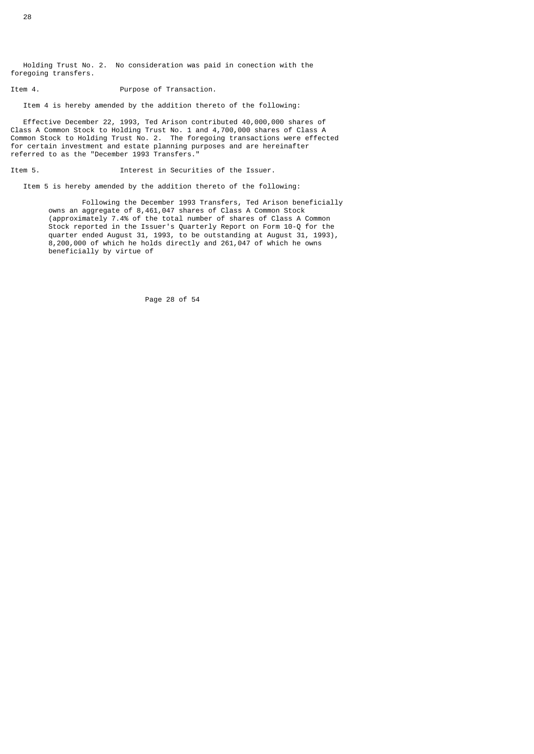Holding Trust No. 2. No consideration was paid in conection with the foregoing transfers.

Item 4. Contraction of Transaction.

Item 4 is hereby amended by the addition thereto of the following:

 Effective December 22, 1993, Ted Arison contributed 40,000,000 shares of Class A Common Stock to Holding Trust No. 1 and 4,700,000 shares of Class A Common Stock to Holding Trust No. 2. The foregoing transactions were effected for certain investment and estate planning purposes and are hereinafter referred to as the "December 1993 Transfers."

Item 5. Interest in Securities of the Issuer.

Item 5 is hereby amended by the addition thereto of the following:

 Following the December 1993 Transfers, Ted Arison beneficially owns an aggregate of 8,461,047 shares of Class A Common Stock (approximately 7.4% of the total number of shares of Class A Common Stock reported in the Issuer's Quarterly Report on Form 10-Q for the quarter ended August 31, 1993, to be outstanding at August 31, 1993), 8,200,000 of which he holds directly and 261,047 of which he owns beneficially by virtue of

Page 28 of 54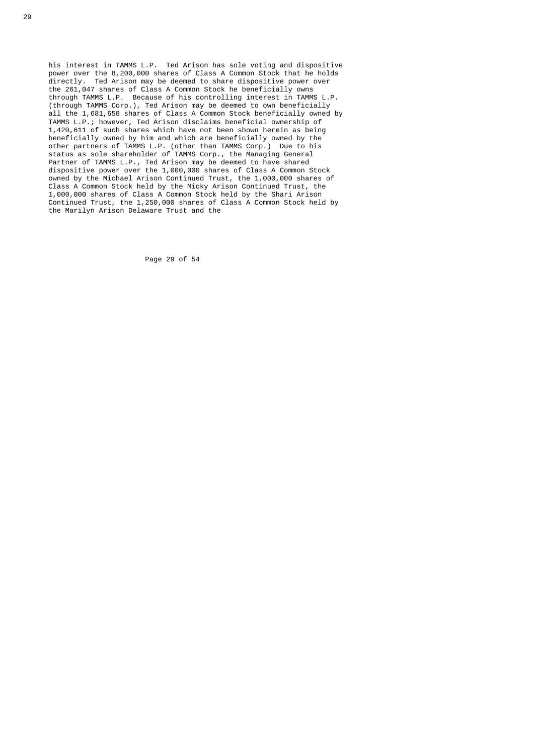his interest in TAMMS L.P. Ted Arison has sole voting and dispositive power over the 8,200,000 shares of Class A Common Stock that he holds directly. Ted Arison may be deemed to share dispositive power over the 261,047 shares of Class A Common Stock he beneficially owns through TAMMS L.P. Because of his controlling interest in TAMMS L.P. (through TAMMS Corp.), Ted Arison may be deemed to own beneficially all the 1,681,658 shares of Class A Common Stock beneficially owned by TAMMS L.P.; however, Ted Arison disclaims beneficial ownership of 1,420,611 of such shares which have not been shown herein as being beneficially owned by him and which are beneficially owned by the other partners of TAMMS L.P. (other than TAMMS Corp.) Due to his status as sole shareholder of TAMMS Corp., the Managing General Partner of TAMMS L.P., Ted Arison may be deemed to have shared dispositive power over the 1,000,000 shares of Class A Common Stock owned by the Michael Arison Continued Trust, the 1,000,000 shares of Class A Common Stock held by the Micky Arison Continued Trust, the 1,000,000 shares of Class A Common Stock held by the Shari Arison Continued Trust, the 1,250,000 shares of Class A Common Stock held by the Marilyn Arison Delaware Trust and the

Page 29 of 54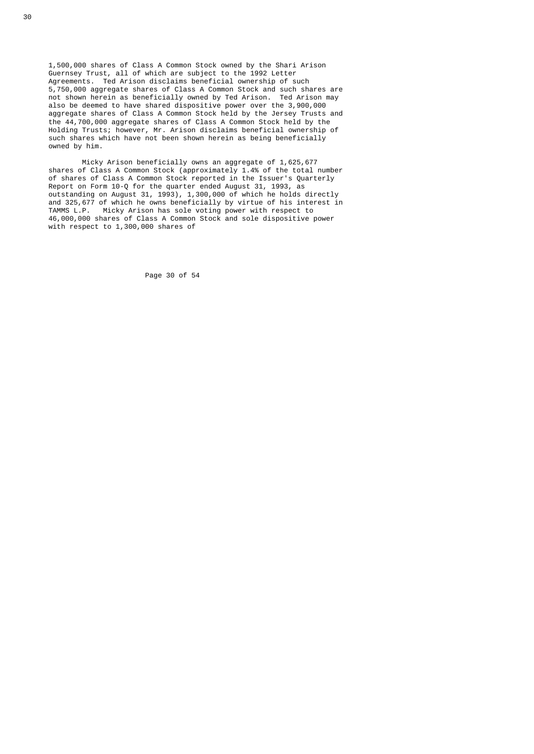1,500,000 shares of Class A Common Stock owned by the Shari Arison Guernsey Trust, all of which are subject to the 1992 Letter Agreements. Ted Arison disclaims beneficial ownership of such 5,750,000 aggregate shares of Class A Common Stock and such shares are not shown herein as beneficially owned by Ted Arison. Ted Arison may also be deemed to have shared dispositive power over the 3,900,000 aggregate shares of Class A Common Stock held by the Jersey Trusts and the 44,700,000 aggregate shares of Class A Common Stock held by the Holding Trusts; however, Mr. Arison disclaims beneficial ownership of such shares which have not been shown herein as being beneficially owned by him.

 Micky Arison beneficially owns an aggregate of 1,625,677 shares of Class A Common Stock (approximately 1.4% of the total number of shares of Class A Common Stock reported in the Issuer's Quarterly Report on Form 10-Q for the quarter ended August 31, 1993, as outstanding on August 31, 1993), 1,300,000 of which he holds directly and 325,677 of which he owns beneficially by virtue of his interest in TAMMS L.P. Micky Arison has sole voting power with respect to 46,000,000 shares of Class A Common Stock and sole dispositive power with respect to 1,300,000 shares of

Page 30 of 54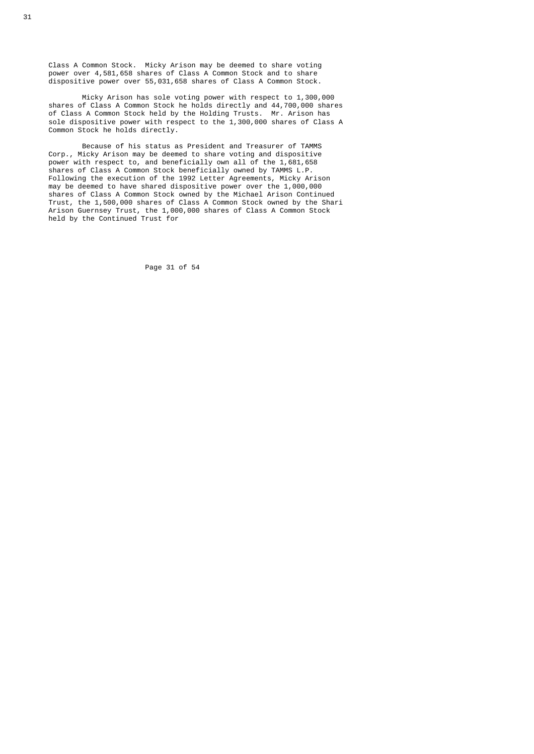Class A Common Stock. Micky Arison may be deemed to share voting power over 4,581,658 shares of Class A Common Stock and to share dispositive power over 55,031,658 shares of Class A Common Stock.

 Micky Arison has sole voting power with respect to 1,300,000 shares of Class A Common Stock he holds directly and 44,700,000 shares of Class A Common Stock held by the Holding Trusts. Mr. Arison has sole dispositive power with respect to the 1,300,000 shares of Class A Common Stock he holds directly.

 Because of his status as President and Treasurer of TAMMS Corp., Micky Arison may be deemed to share voting and dispositive power with respect to, and beneficially own all of the 1,681,658 shares of Class A Common Stock beneficially owned by TAMMS L.P. Following the execution of the 1992 Letter Agreements, Micky Arison may be deemed to have shared dispositive power over the 1,000,000 shares of Class A Common Stock owned by the Michael Arison Continued Trust, the 1,500,000 shares of Class A Common Stock owned by the Shari Arison Guernsey Trust, the 1,000,000 shares of Class A Common Stock held by the Continued Trust for

Page 31 of 54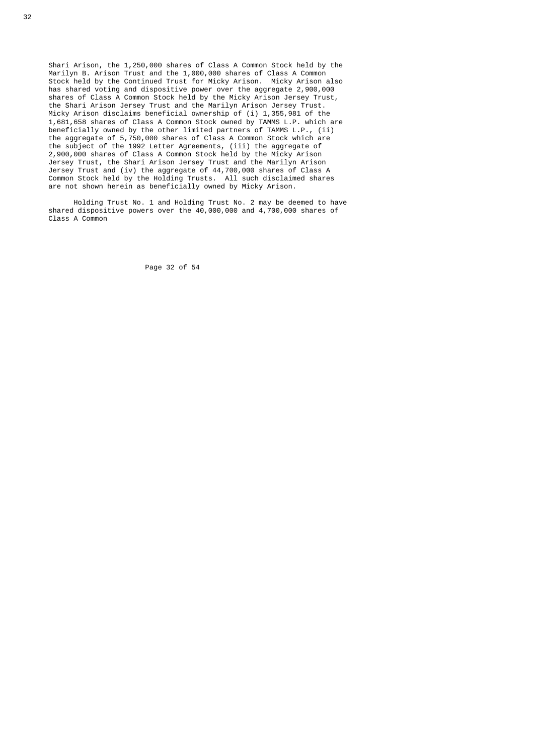Shari Arison, the 1,250,000 shares of Class A Common Stock held by the Marilyn B. Arison Trust and the 1,000,000 shares of Class A Common Stock held by the Continued Trust for Micky Arison. Micky Arison also has shared voting and dispositive power over the aggregate 2,900,000 shares of Class A Common Stock held by the Micky Arison Jersey Trust, the Shari Arison Jersey Trust and the Marilyn Arison Jersey Trust. Micky Arison disclaims beneficial ownership of (i) 1,355,981 of the 1,681,658 shares of Class A Common Stock owned by TAMMS L.P. which are beneficially owned by the other limited partners of TAMMS L.P., (ii) the aggregate of 5,750,000 shares of Class A Common Stock which are the subject of the 1992 Letter Agreements, (iii) the aggregate of 2,900,000 shares of Class A Common Stock held by the Micky Arison Jersey Trust, the Shari Arison Jersey Trust and the Marilyn Arison Jersey Trust and (iv) the aggregate of 44,700,000 shares of Class A Common Stock held by the Holding Trusts. All such disclaimed shares are not shown herein as beneficially owned by Micky Arison.

> Holding Trust No. 1 and Holding Trust No. 2 may be deemed to have shared dispositive powers over the 40,000,000 and 4,700,000 shares of Class A Common

> > Page 32 of 54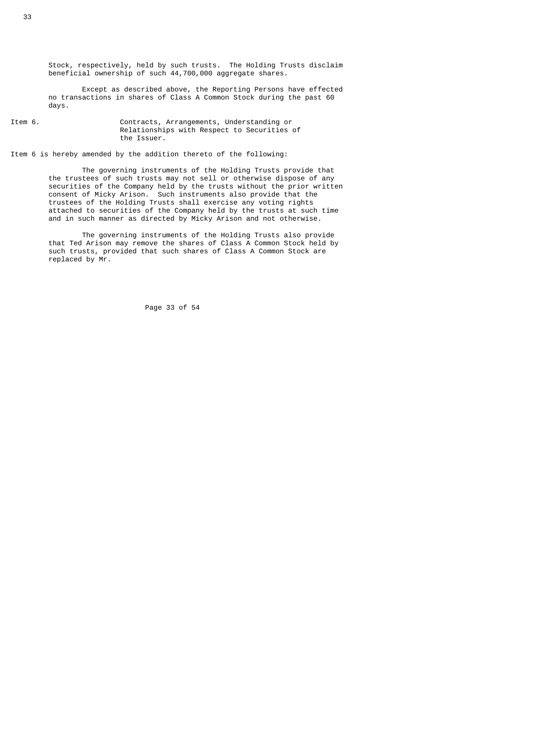Stock, respectively, held by such trusts. The Holding Trusts disclaim beneficial ownership of such 44,700,000 aggregate shares.

 Except as described above, the Reporting Persons have effected no transactions in shares of Class A Common Stock during the past 60 days.

Item 6. Contracts, Arrangements, Understanding or Relationships with Respect to Securities of the Issuer.

Item 6 is hereby amended by the addition thereto of the following:

 The governing instruments of the Holding Trusts provide that the trustees of such trusts may not sell or otherwise dispose of any securities of the Company held by the trusts without the prior written consent of Micky Arison. Such instruments also provide that the trustees of the Holding Trusts shall exercise any voting rights attached to securities of the Company held by the trusts at such time and in such manner as directed by Micky Arison and not otherwise.

> The governing instruments of the Holding Trusts also provide that Ted Arison may remove the shares of Class A Common Stock held by such trusts, provided that such shares of Class A Common Stock are replaced by Mr.

> > Page 33 of 54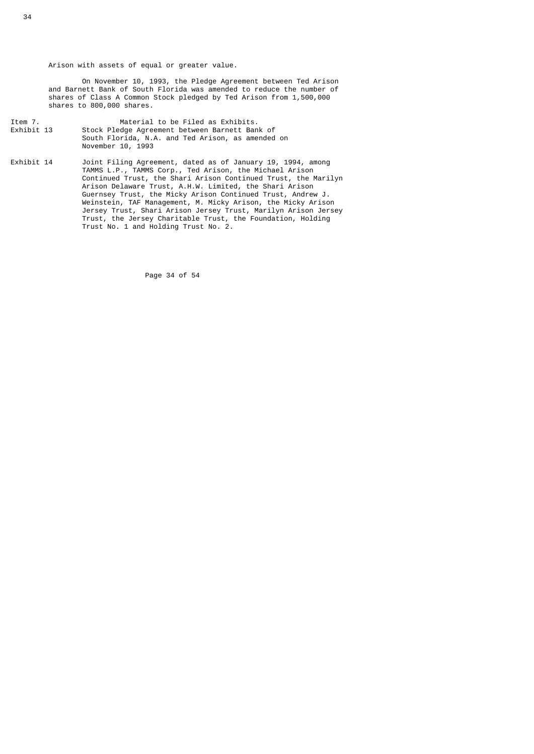Arison with assets of equal or greater value.

 On November 10, 1993, the Pledge Agreement between Ted Arison and Barnett Bank of South Florida was amended to reduce the number of shares of Class A Common Stock pledged by Ted Arison from 1,500,000 shares to 800,000 shares.

- Item 7. Material to be Filed as Exhibits.<br>Exhibit 13 Stock Pledge Agreement between Barnett Bank Stock Pledge Agreement between Barnett Bank of South Florida, N.A. and Ted Arison, as amended on November 10, 1993
- Exhibit 14 Joint Filing Agreement, dated as of January 19, 1994, among TAMMS L.P., TAMMS Corp., Ted Arison, the Michael Arison Continued Trust, the Shari Arison Continued Trust, the Marilyn Arison Delaware Trust, A.H.W. Limited, the Shari Arison Guernsey Trust, the Micky Arison Continued Trust, Andrew J. Weinstein, TAF Management, M. Micky Arison, the Micky Arison Jersey Trust, Shari Arison Jersey Trust, Marilyn Arison Jersey Trust, the Jersey Charitable Trust, the Foundation, Holding Trust No. 1 and Holding Trust No. 2.

Page 34 of 54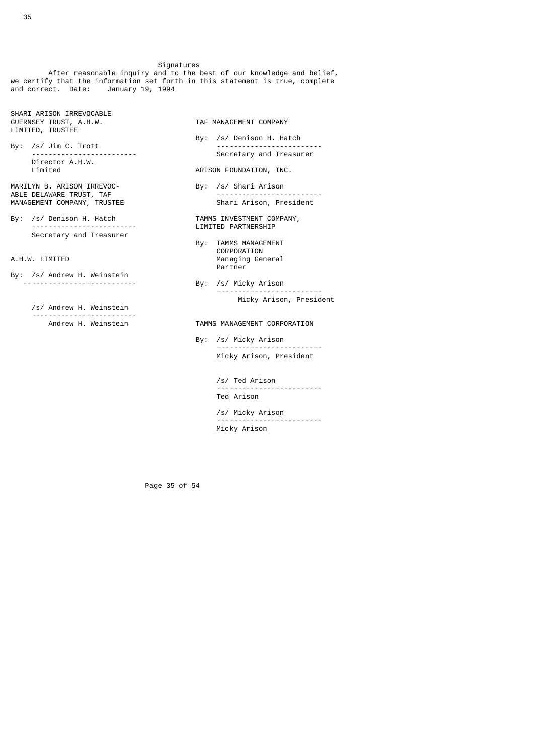Signatures

 After reasonable inquiry and to the best of our knowledge and belief, we certify that the information set forth in this statement is true, complete and correct. Date: January 19, 1994

SHARI ARISON IRREVOCABLE GUERNSEY TRUST, A.H.W. TAF MANAGEMENT COMPANY LIMITED, TRUSTEE

By: /s/ Jim C. Trott<br>--------------------------Director A.H.W.<br>Limited

MARILYN B. ARISON IRREVOC-MANAGEMENT COMPANY, TRUSTEE Shari Arison, President

By: /s/ Denison H. Hatch **TAMMS INVESTMENT COMPANY,**  ------------------------- LIMITED PARTNERSHIP Secretary and Treasurer

- By: /s/ Andrew H. Weinstein<br>-----------------------------
	- /s/ Andrew H. Weinstein ---------------------<br>Andrew H. Weinstein

By: /s/ Denison H. Hatch<br>--------------------------Secretary and Treasurer

# ARISON FOUNDATION, INC.

- By: /s/ Shari Arison<br>---------------------------ABLE DELAWARE TRUST, TAF -------------------------
	-
- By: TAMMS MANAGEMENT CORPORATION<br>A.H.W. LIMITED CORPORATION Managing German Managing General **Partner**
- By: /s/ Micky Arison<br>------------------------- ------------------------- Micky Arison, President

## TAMMS MANAGEMENT CORPORATION

 By: /s/ Micky Arison ------------------------- Micky Arison, President

> /s/ Ted Arison ------------------------- Ted Arison

> /s/ Micky Arison ------------------------- Micky Arison

Page 35 of 54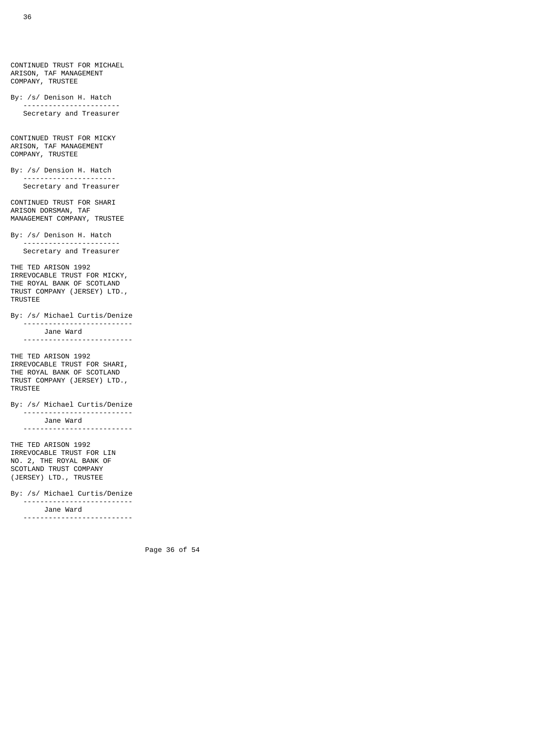CONTINUED TRUST FOR MICHAEL ARISON, TAF MANAGEMENT COMPANY, TRUSTEE By: /s/ Denison H. Hatch ----------------------- Secretary and Treasurer CONTINUED TRUST FOR MICKY ARISON, TAF MANAGEMENT COMPANY, TRUSTEE By: /s/ Dension H. Hatch ---------------------- Secretary and Treasurer CONTINUED TRUST FOR SHARI ARISON DORSMAN, TAF MANAGEMENT COMPANY, TRUSTEE By: /s/ Denison H. Hatch ----------------------- Secretary and Treasurer THE TED ARISON 1992 IRREVOCABLE TRUST FOR MICKY, THE ROYAL BANK OF SCOTLAND TRUST COMPANY (JERSEY) LTD., TRUSTEE By: /s/ Michael Curtis/Denize -------------------------- Jane Ward -------------------------- THE TED ARISON 1992 IRREVOCABLE TRUST FOR SHARI, THE ROYAL BANK OF SCOTLAND TRUST COMPANY (JERSEY) LTD., TRUSTEE By: /s/ Michael Curtis/Denize -------------------------- Jane Ward -------------------------- THE TED ARISON 1992 IRREVOCABLE TRUST FOR LIN NO. 2, THE ROYAL BANK OF SCOTLAND TRUST COMPANY (JERSEY) LTD., TRUSTEE By: /s/ Michael Curtis/Denize -------------------------- Jane Ward --------------------------

Page 36 of 54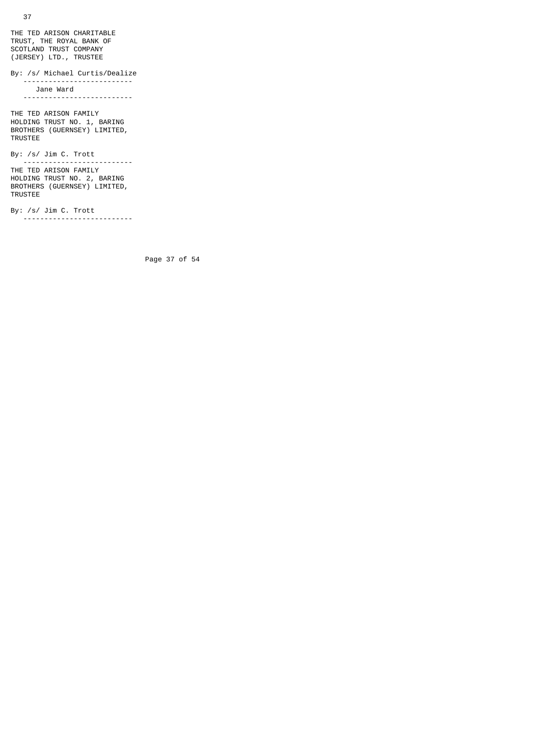THE TED ARISON CHARITABLE TRUST, THE ROYAL BANK OF SCOTLAND TRUST COMPANY (JERSEY) LTD., TRUSTEE

By: /s/ Michael Curtis/Dealize

 -------------------------- Jane Ward --------------------------

THE TED ARISON FAMILY HOLDING TRUST NO. 1, BARING BROTHERS (GUERNSEY) LIMITED, TRUSTEE

By: /s/ Jim C. Trott --------------------------

THE TED ARISON FAMILY HOLDING TRUST NO. 2, BARING BROTHERS (GUERNSEY) LIMITED, TRUSTEE

By: /s/ Jim C. Trott --------------------------

Page 37 of 54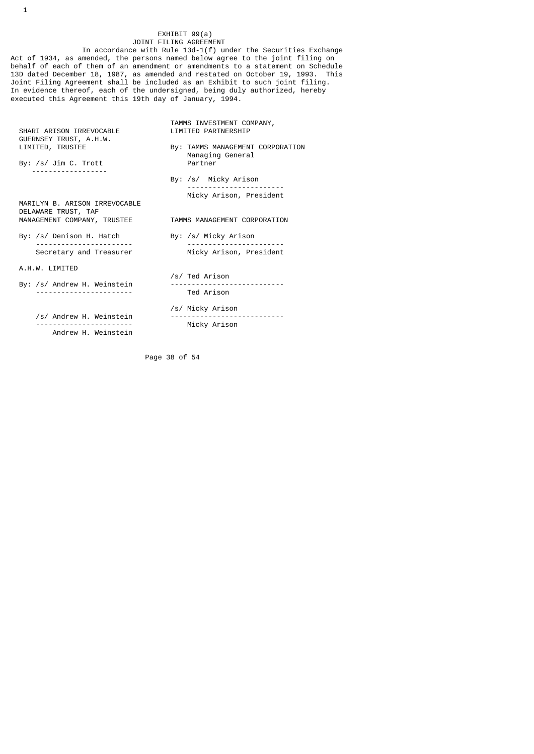# EXHIBIT 99(a)<br>JOINT FILING AGREEMENT JOINT FILING AGREEMENT

 In accordance with Rule 13d-1(f) under the Securities Exchange Act of 1934, as amended, the persons named below agree to the joint filing on behalf of each of them of an amendment or amendments to a statement on Schedule 13D dated December 18, 1987, as amended and restated on October 19, 1993. This Joint Filing Agreement shall be included as an Exhibit to such joint filing. In evidence thereof, each of the undersigned, being duly authorized, hereby executed this Agreement this 19th day of January, 1994.

| SHARI ARISON IRREVOCABLE<br>GUERNSEY TRUST, A.H.W. | TAMMS INVESTMENT COMPANY,<br><b>I TMTTED PARTNERSHTP</b> |  |
|----------------------------------------------------|----------------------------------------------------------|--|
| LIMITED, TRUSTEE                                   | By: TAMMS MANAGEMENT CORPORATION<br>Managing General     |  |
| By: /s/ Jim C. Trott                               | Partner                                                  |  |
|                                                    | By: /s/ Micky Arison                                     |  |
| MARILYN B. ARISON IRREVOCABLE                      | Micky Arison, President                                  |  |
| DELAWARE TRUST, TAF<br>MANAGEMENT COMPANY, TRUSTEE | TAMMS MANAGEMENT CORPORATION                             |  |
| By: /s/ Denison H. Hatch                           | By: /s/ Micky Arison                                     |  |
| Secretary and Treasurer                            | Micky Arison, President                                  |  |
| A.H.W. LIMITED                                     | /s/ Ted Arison                                           |  |
| By: /s/ Andrew H. Weinstein                        |                                                          |  |
|                                                    | Ted Arison                                               |  |
| /s/ Andrew H. Weinstein                            | /s/ Micky Arison                                         |  |
| Andrew H. Weinstein                                | Micky Arison                                             |  |
|                                                    |                                                          |  |

Page 38 of 54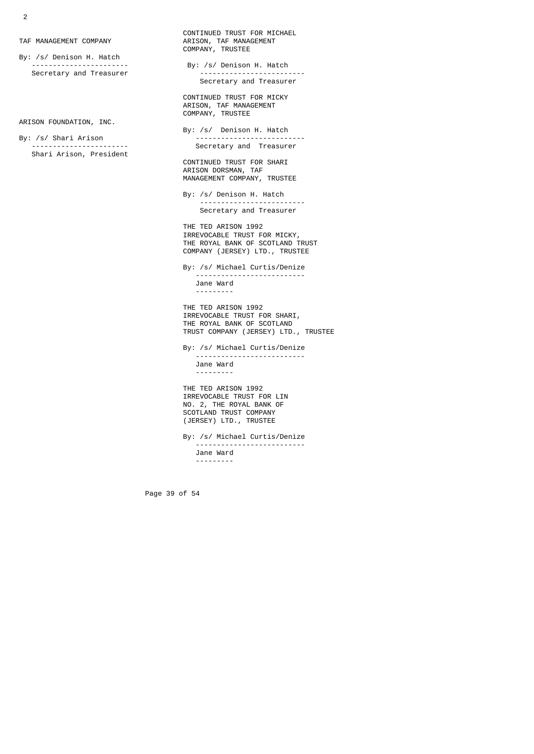By: /s/ Denison H. Hatch<br>------------------------Secretary and Treasurer

ARISON FOUNDATION, INC.

Shari Arison, President

CONTINUED TRUST FOR MICHAEL<br>TAF MANAGEMENT COMPANY COMPANY ARISON, TAF MANAGEMENT TAF MANAGEMENT COMPANY ARISON, TAF MANAGEMENT COMPANY, TRUSTEE By: /s/ Denison H. Hatch<br>-------------------------- Secretary and Treasurer CONTINUED TRUST FOR MICKY ARISON, TAF MANAGEMENT COMPANY, TRUSTEE By: /s/ Denison H. Hatch

 By: /s/ Shari Arison -------------------------- Secretary and Treasurer

CONTINUED TRUST FOR SHARI ARISON DORSMAN, TAF MANAGEMENT COMPANY, TRUSTEE

> By: /s/ Denison H. Hatch ------------------------- Secretary and Treasurer

 THE TED ARISON 1992 IRREVOCABLE TRUST FOR MICKY, THE ROYAL BANK OF SCOTLAND TRUST COMPANY (JERSEY) LTD., TRUSTEE

 By: /s/ Michael Curtis/Denize -------------------------- Jane Ward ---------

> THE TED ARISON 1992 IRREVOCABLE TRUST FOR SHARI, THE ROYAL BANK OF SCOTLAND TRUST COMPANY (JERSEY) LTD., TRUSTEE

 By: /s/ Michael Curtis/Denize -------------------------- Jane Ward ---------

 THE TED ARISON 1992 IRREVOCABLE TRUST FOR LIN NO. 2, THE ROYAL BANK OF SCOTLAND TRUST COMPANY (JERSEY) LTD., TRUSTEE

 By: /s/ Michael Curtis/Denize -------------------------- Jane Ward ---------

Page 39 of 54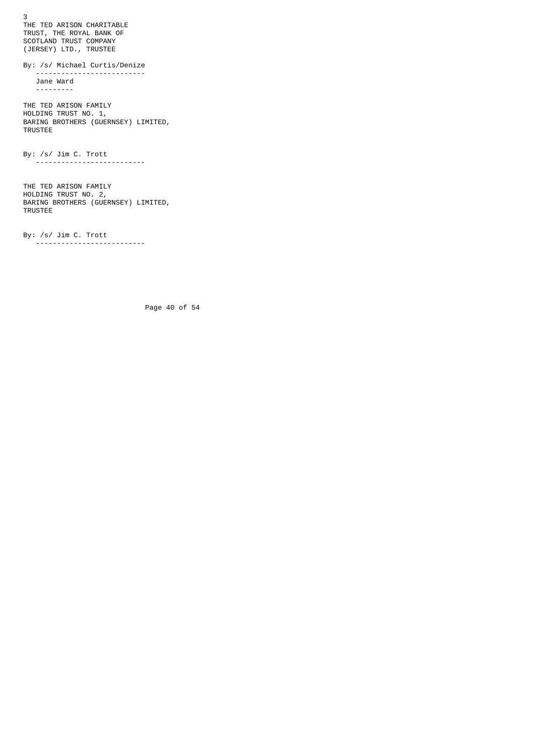3 THE TED ARISON CHARITABLE TRUST, THE ROYAL BANK OF SCOTLAND TRUST COMPANY (JERSEY) LTD., TRUSTEE By: /s/ Michael Curtis/Denize -------------------------- Jane Ward --------- THE TED ARISON FAMILY HOLDING TRUST NO. 1, BARING BROTHERS (GUERNSEY) LIMITED, TRUSTEE By: /s/ Jim C. Trott -------------------------- THE TED ARISON FAMILY HOLDING TRUST NO. 2, BARING BROTHERS (GUERNSEY) LIMITED, TRUSTEE

 By: /s/ Jim C. Trott --------------------------

Page 40 of 54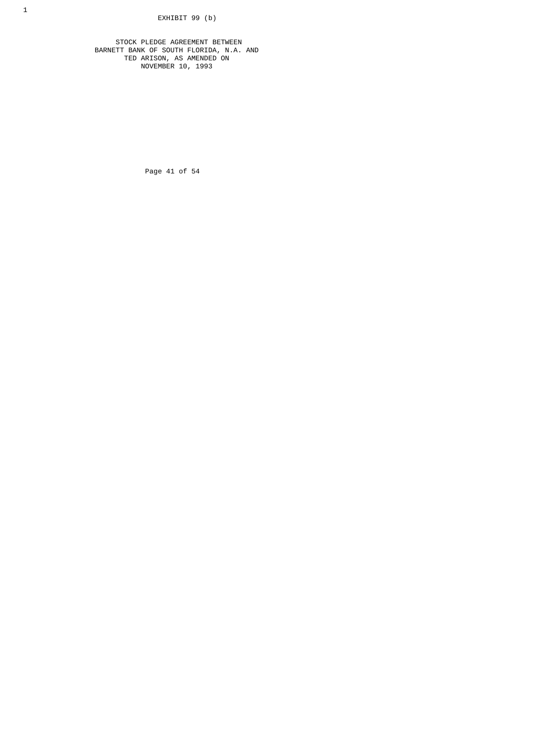STOCK PLEDGE AGREEMENT BETWEEN BARNETT BANK OF SOUTH FLORIDA, N.A. AND TED ARISON, AS AMENDED ON NOVEMBER 10, 1993

Page 41 of 54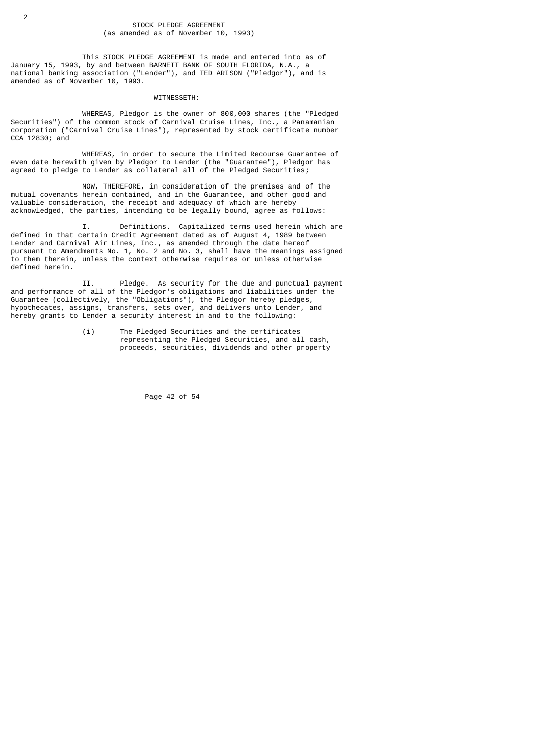This STOCK PLEDGE AGREEMENT is made and entered into as of January 15, 1993, by and between BARNETT BANK OF SOUTH FLORIDA, N.A., a national banking association ("Lender"), and TED ARISON ("Pledgor"), and is amended as of November 10, 1993.

### WITNESSETH:

 WHEREAS, Pledgor is the owner of 800,000 shares (the "Pledged Securities") of the common stock of Carnival Cruise Lines, Inc., a Panamanian corporation ("Carnival Cruise Lines"), represented by stock certificate number CCA 12830; and

 WHEREAS, in order to secure the Limited Recourse Guarantee of even date herewith given by Pledgor to Lender (the "Guarantee"), Pledgor has agreed to pledge to Lender as collateral all of the Pledged Securities;

 NOW, THEREFORE, in consideration of the premises and of the mutual covenants herein contained, and in the Guarantee, and other good and valuable consideration, the receipt and adequacy of which are hereby acknowledged, the parties, intending to be legally bound, agree as follows:

 I. Definitions. Capitalized terms used herein which are defined in that certain Credit Agreement dated as of August 4, 1989 between Lender and Carnival Air Lines, Inc., as amended through the date hereof pursuant to Amendments No. 1, No. 2 and No. 3, shall have the meanings assigned to them therein, unless the context otherwise requires or unless otherwise defined herein.

 II. Pledge. As security for the due and punctual payment and performance of all of the Pledgor's obligations and liabilities under the Guarantee (collectively, the "Obligations"), the Pledgor hereby pledges, hypothecates, assigns, transfers, sets over, and delivers unto Lender, and hereby grants to Lender a security interest in and to the following:

> (i) The Pledged Securities and the certificates representing the Pledged Securities, and all cash, proceeds, securities, dividends and other property

> > Page 42 of 54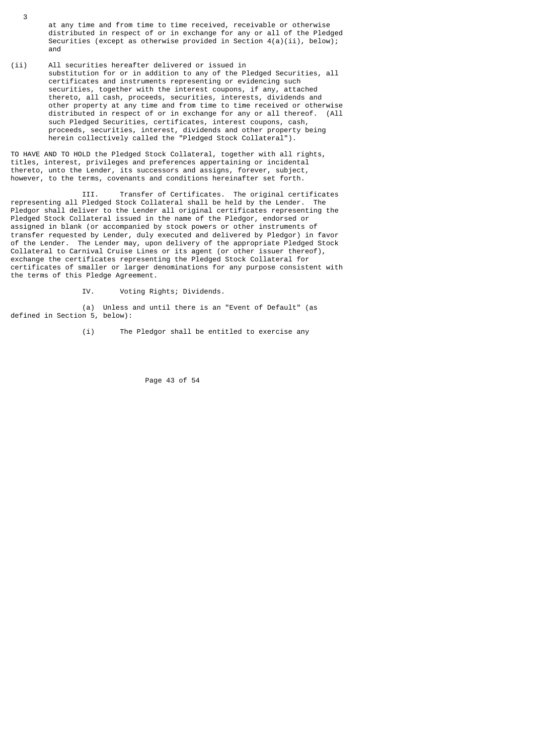- at any time and from time to time received, receivable or otherwise distributed in respect of or in exchange for any or all of the Pledged Securities (except as otherwise provided in Section  $4(a)(ii)$ , below); and
- (ii) All securities hereafter delivered or issued in substitution for or in addition to any of the Pledged Securities, all certificates and instruments representing or evidencing such securities, together with the interest coupons, if any, attached thereto, all cash, proceeds, securities, interests, dividends and other property at any time and from time to time received or otherwise distributed in respect of or in exchange for any or all thereof. (All such Pledged Securities, certificates, interest coupons, cash, proceeds, securities, interest, dividends and other property being herein collectively called the "Pledged Stock Collateral").

TO HAVE AND TO HOLD the Pledged Stock Collateral, together with all rights, titles, interest, privileges and preferences appertaining or incidental thereto, unto the Lender, its successors and assigns, forever, subject, however, to the terms, covenants and conditions hereinafter set forth.

 III. Transfer of Certificates. The original certificates representing all Pledged Stock Collateral shall be held by the Lender. The Pledgor shall deliver to the Lender all original certificates representing the Pledged Stock Collateral issued in the name of the Pledgor, endorsed or assigned in blank (or accompanied by stock powers or other instruments of transfer requested by Lender, duly executed and delivered by Pledgor) in favor of the Lender. The Lender may, upon delivery of the appropriate Pledged Stock Collateral to Carnival Cruise Lines or its agent (or other issuer thereof), exchange the certificates representing the Pledged Stock Collateral for certificates of smaller or larger denominations for any purpose consistent with the terms of this Pledge Agreement.

IV. Voting Rights; Dividends.

 (a) Unless and until there is an "Event of Default" (as defined in Section 5, below):

(i) The Pledgor shall be entitled to exercise any

Page 43 of 54

3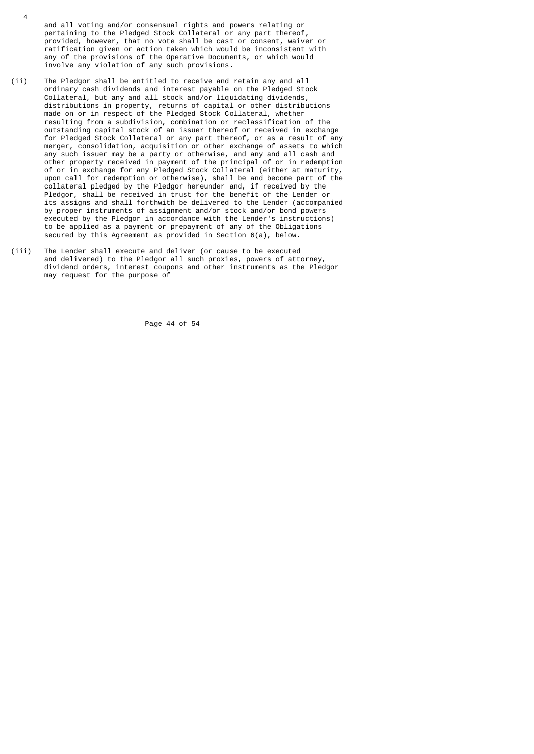and all voting and/or consensual rights and powers relating or pertaining to the Pledged Stock Collateral or any part thereof, provided, however, that no vote shall be cast or consent, waiver or ratification given or action taken which would be inconsistent with any of the provisions of the Operative Documents, or which would involve any violation of any such provisions.

4

- (ii) The Pledgor shall be entitled to receive and retain any and all ordinary cash dividends and interest payable on the Pledged Stock Collateral, but any and all stock and/or liquidating dividends, distributions in property, returns of capital or other distributions made on or in respect of the Pledged Stock Collateral, whether resulting from a subdivision, combination or reclassification of the outstanding capital stock of an issuer thereof or received in exchange for Pledged Stock Collateral or any part thereof, or as a result of any merger, consolidation, acquisition or other exchange of assets to which any such issuer may be a party or otherwise, and any and all cash and other property received in payment of the principal of or in redemption of or in exchange for any Pledged Stock Collateral (either at maturity, upon call for redemption or otherwise), shall be and become part of the collateral pledged by the Pledgor hereunder and, if received by the Pledgor, shall be received in trust for the benefit of the Lender or its assigns and shall forthwith be delivered to the Lender (accompanied by proper instruments of assignment and/or stock and/or bond powers executed by the Pledgor in accordance with the Lender's instructions) to be applied as a payment or prepayment of any of the Obligations secured by this Agreement as provided in Section 6(a), below.
- (iii) The Lender shall execute and deliver (or cause to be executed and delivered) to the Pledgor all such proxies, powers of attorney, dividend orders, interest coupons and other instruments as the Pledgor may request for the purpose of

Page 44 of 54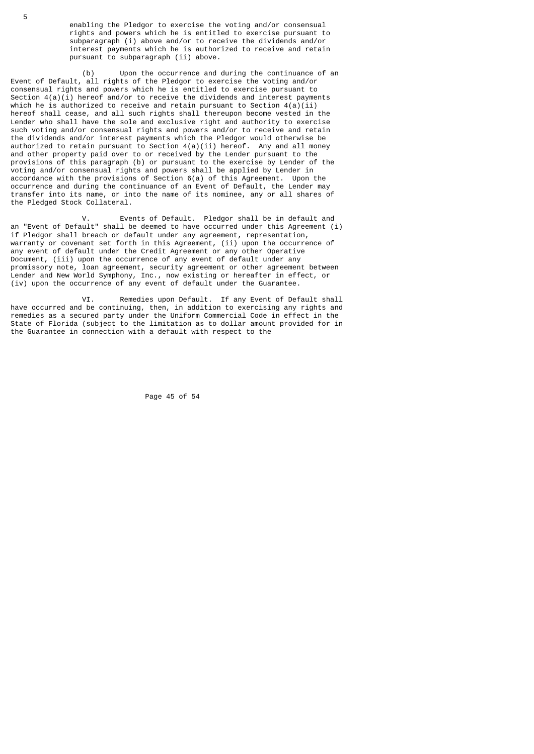enabling the Pledgor to exercise the voting and/or consensual rights and powers which he is entitled to exercise pursuant to subparagraph (i) above and/or to receive the dividends and/or interest payments which he is authorized to receive and retain pursuant to subparagraph (ii) above.

 (b) Upon the occurrence and during the continuance of an Event of Default, all rights of the Pledgor to exercise the voting and/or consensual rights and powers which he is entitled to exercise pursuant to Section  $4(a)(i)$  hereof and/or to receive the dividends and interest payments which he is authorized to receive and retain pursuant to Section  $4(a)(ii)$ hereof shall cease, and all such rights shall thereupon become vested in the Lender who shall have the sole and exclusive right and authority to exercise such voting and/or consensual rights and powers and/or to receive and retain the dividends and/or interest payments which the Pledgor would otherwise be authorized to retain pursuant to Section  $4(a)(ii)$  hereof. Any and all money and other property paid over to or received by the Lender pursuant to the provisions of this paragraph (b) or pursuant to the exercise by Lender of the voting and/or consensual rights and powers shall be applied by Lender in accordance with the provisions of Section 6(a) of this Agreement. Upon the occurrence and during the continuance of an Event of Default, the Lender may transfer into its name, or into the name of its nominee, any or all shares of the Pledged Stock Collateral.

Events of Default. Pledgor shall be in default and an "Event of Default" shall be deemed to have occurred under this Agreement (i) if Pledgor shall breach or default under any agreement, representation, warranty or covenant set forth in this Agreement, (ii) upon the occurrence of any event of default under the Credit Agreement or any other Operative Document, (iii) upon the occurrence of any event of default under any promissory note, loan agreement, security agreement or other agreement between Lender and New World Symphony, Inc., now existing or hereafter in effect, or (iv) upon the occurrence of any event of default under the Guarantee.

 VI. Remedies upon Default. If any Event of Default shall have occurred and be continuing, then, in addition to exercising any rights and remedies as a secured party under the Uniform Commercial Code in effect in the State of Florida (subject to the limitation as to dollar amount provided for in the Guarantee in connection with a default with respect to the

Page 45 of 54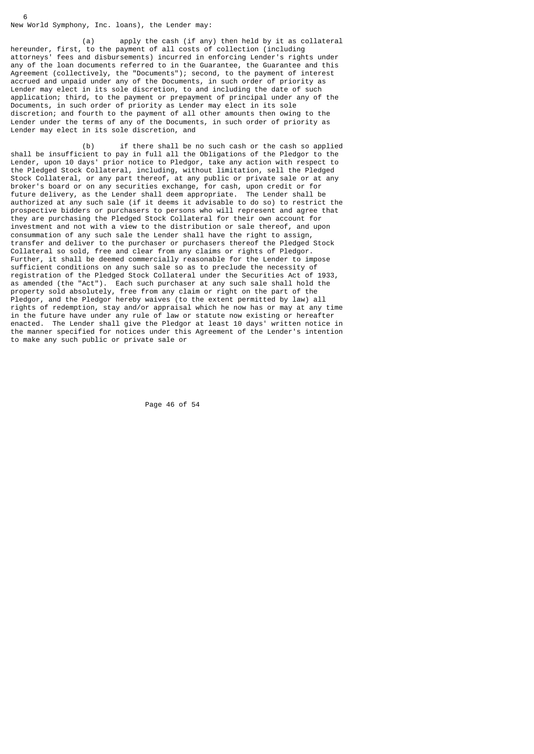# New World Symphony, Inc. loans), the Lender may:

6

 (a) apply the cash (if any) then held by it as collateral hereunder, first, to the payment of all costs of collection (including attorneys' fees and disbursements) incurred in enforcing Lender's rights under any of the loan documents referred to in the Guarantee, the Guarantee and this Agreement (collectively, the "Documents"); second, to the payment of interest accrued and unpaid under any of the Documents, in such order of priority as Lender may elect in its sole discretion, to and including the date of such application; third, to the payment or prepayment of principal under any of the Documents, in such order of priority as Lender may elect in its sole discretion; and fourth to the payment of all other amounts then owing to the Lender under the terms of any of the Documents, in such order of priority as Lender may elect in its sole discretion, and

 (b) if there shall be no such cash or the cash so applied shall be insufficient to pay in full all the Obligations of the Pledgor to the Lender, upon 10 days' prior notice to Pledgor, take any action with respect to the Pledged Stock Collateral, including, without limitation, sell the Pledged Stock Collateral, or any part thereof, at any public or private sale or at any broker's board or on any securities exchange, for cash, upon credit or for future delivery, as the Lender shall deem appropriate. The Lender shall be authorized at any such sale (if it deems it advisable to do so) to restrict the prospective bidders or purchasers to persons who will represent and agree that they are purchasing the Pledged Stock Collateral for their own account for investment and not with a view to the distribution or sale thereof, and upon consummation of any such sale the Lender shall have the right to assign, transfer and deliver to the purchaser or purchasers thereof the Pledged Stock Collateral so sold, free and clear from any claims or rights of Pledgor. Further, it shall be deemed commercially reasonable for the Lender to impose sufficient conditions on any such sale so as to preclude the necessity of registration of the Pledged Stock Collateral under the Securities Act of 1933, as amended (the "Act"). Each such purchaser at any such sale shall hold the property sold absolutely, free from any claim or right on the part of the Pledgor, and the Pledgor hereby waives (to the extent permitted by law) all rights of redemption, stay and/or appraisal which he now has or may at any time in the future have under any rule of law or statute now existing or hereafter enacted. The Lender shall give the Pledgor at least 10 days' written notice in the manner specified for notices under this Agreement of the Lender's intention to make any such public or private sale or

Page 46 of 54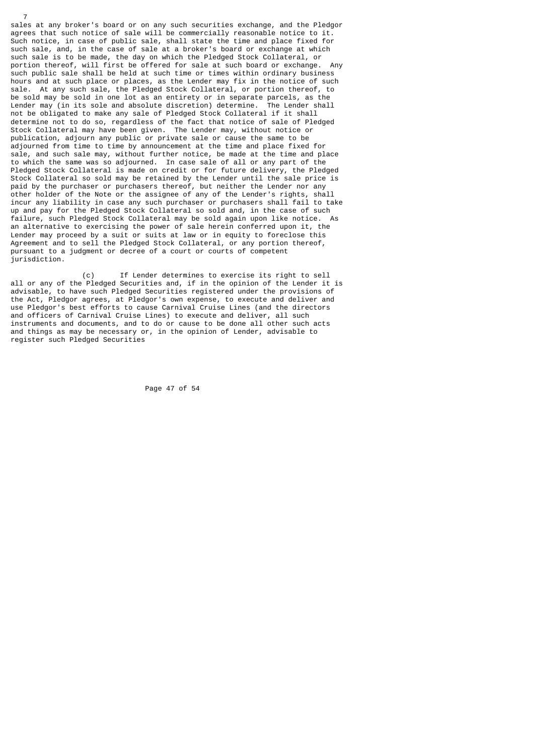sales at any broker's board or on any such securities exchange, and the Pledgor agrees that such notice of sale will be commercially reasonable notice to it. Such notice, in case of public sale, shall state the time and place fixed for such sale, and, in the case of sale at a broker's board or exchange at which such sale is to be made, the day on which the Pledged Stock Collateral, or portion thereof, will first be offered for sale at such board or exchange. Any such public sale shall be held at such time or times within ordinary business hours and at such place or places, as the Lender may fix in the notice of such sale. At any such sale, the Pledged Stock Collateral, or portion thereof, to be sold may be sold in one lot as an entirety or in separate parcels, as the<br>Lender may (in its sole and absolute discretion) determine. The Lender shall Lender may (in its sole and absolute discretion) determine. not be obligated to make any sale of Pledged Stock Collateral if it shall determine not to do so, regardless of the fact that notice of sale of Pledged Stock Collateral may have been given. The Lender may, without notice or publication, adjourn any public or private sale or cause the same to be adjourned from time to time by announcement at the time and place fixed for sale, and such sale may, without further notice, be made at the time and place to which the same was so adjourned. In case sale of all or any part of the Pledged Stock Collateral is made on credit or for future delivery, the Pledged Stock Collateral so sold may be retained by the Lender until the sale price is paid by the purchaser or purchasers thereof, but neither the Lender nor any other holder of the Note or the assignee of any of the Lender's rights, shall incur any liability in case any such purchaser or purchasers shall fail to take up and pay for the Pledged Stock Collateral so sold and, in the case of such failure, such Pledged Stock Collateral may be sold again upon like notice. As an alternative to exercising the power of sale herein conferred upon it, the Lender may proceed by a suit or suits at law or in equity to foreclose this Agreement and to sell the Pledged Stock Collateral, or any portion thereof, pursuant to a judgment or decree of a court or courts of competent jurisdiction.

7

 (c) If Lender determines to exercise its right to sell all or any of the Pledged Securities and, if in the opinion of the Lender it is advisable, to have such Pledged Securities registered under the provisions of the Act, Pledgor agrees, at Pledgor's own expense, to execute and deliver and use Pledgor's best efforts to cause Carnival Cruise Lines (and the directors and officers of Carnival Cruise Lines) to execute and deliver, all such instruments and documents, and to do or cause to be done all other such acts and things as may be necessary or, in the opinion of Lender, advisable to register such Pledged Securities

Page 47 of 54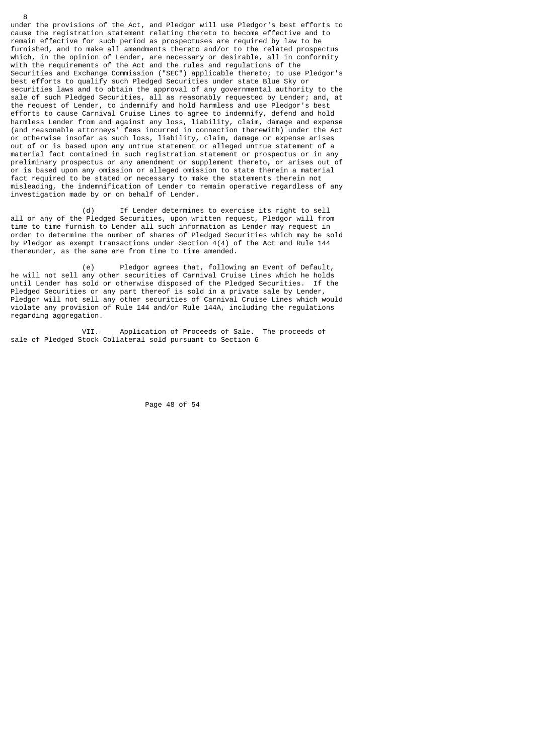under the provisions of the Act, and Pledgor will use Pledgor's best efforts to cause the registration statement relating thereto to become effective and to remain effective for such period as prospectuses are required by law to be furnished, and to make all amendments thereto and/or to the related prospectus which, in the opinion of Lender, are necessary or desirable, all in conformity with the requirements of the Act and the rules and regulations of the Securities and Exchange Commission ("SEC") applicable thereto; to use Pledgor's best efforts to qualify such Pledged Securities under state Blue Sky or securities laws and to obtain the approval of any governmental authority to the sale of such Pledged Securities, all as reasonably requested by Lender; and, at the request of Lender, to indemnify and hold harmless and use Pledgor's best efforts to cause Carnival Cruise Lines to agree to indemnify, defend and hold harmless Lender from and against any loss, liability, claim, damage and expense (and reasonable attorneys' fees incurred in connection therewith) under the Act or otherwise insofar as such loss, liability, claim, damage or expense arises out of or is based upon any untrue statement or alleged untrue statement of a material fact contained in such registration statement or prospectus or in any preliminary prospectus or any amendment or supplement thereto, or arises out of or is based upon any omission or alleged omission to state therein a material fact required to be stated or necessary to make the statements therein not misleading, the indemnification of Lender to remain operative regardless of any investigation made by or on behalf of Lender.

8

 (d) If Lender determines to exercise its right to sell all or any of the Pledged Securities, upon written request, Pledgor will from time to time furnish to Lender all such information as Lender may request in order to determine the number of shares of Pledged Securities which may be sold by Pledgor as exempt transactions under Section 4(4) of the Act and Rule 144 thereunder, as the same are from time to time amended.

 (e) Pledgor agrees that, following an Event of Default, he will not sell any other securities of Carnival Cruise Lines which he holds until Lender has sold or otherwise disposed of the Pledged Securities. If the Pledged Securities or any part thereof is sold in a private sale by Lender, Pledgor will not sell any other securities of Carnival Cruise Lines which would violate any provision of Rule 144 and/or Rule 144A, including the regulations regarding aggregation.

 VII. Application of Proceeds of Sale. The proceeds of sale of Pledged Stock Collateral sold pursuant to Section 6

Page 48 of 54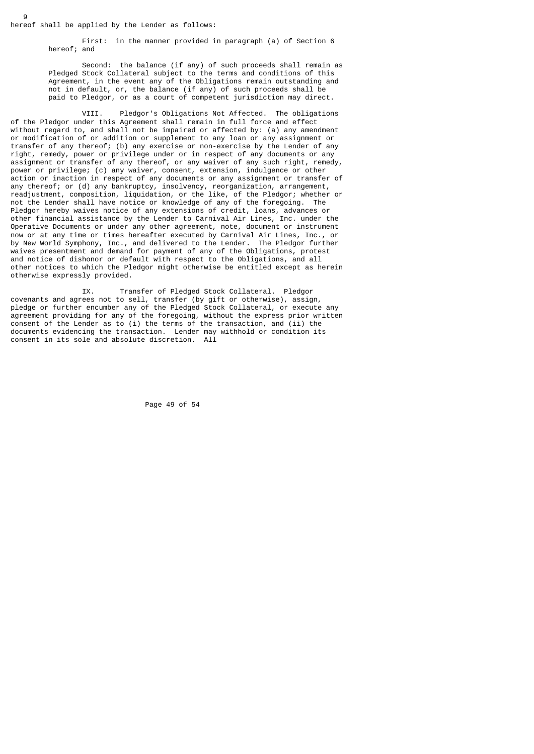hereof shall be applied by the Lender as follows:

9

 First: in the manner provided in paragraph (a) of Section 6 hereof; and

 Second: the balance (if any) of such proceeds shall remain as Pledged Stock Collateral subject to the terms and conditions of this Agreement, in the event any of the Obligations remain outstanding and not in default, or, the balance (if any) of such proceeds shall be paid to Pledgor, or as a court of competent jurisdiction may direct.

 VIII. Pledgor's Obligations Not Affected. The obligations of the Pledgor under this Agreement shall remain in full force and effect without regard to, and shall not be impaired or affected by: (a) any amendment or modification of or addition or supplement to any loan or any assignment or transfer of any thereof; (b) any exercise or non-exercise by the Lender of any right, remedy, power or privilege under or in respect of any documents or any assignment or transfer of any thereof, or any waiver of any such right, remedy, power or privilege; (c) any waiver, consent, extension, indulgence or other action or inaction in respect of any documents or any assignment or transfer of any thereof; or (d) any bankruptcy, insolvency, reorganization, arrangement, readjustment, composition, liquidation, or the like, of the Pledgor; whether or not the Lender shall have notice or knowledge of any of the foregoing. The Pledgor hereby waives notice of any extensions of credit, loans, advances or other financial assistance by the Lender to Carnival Air Lines, Inc. under the Operative Documents or under any other agreement, note, document or instrument now or at any time or times hereafter executed by Carnival Air Lines, Inc., or by New World Symphony, Inc., and delivered to the Lender. The Pledgor further waives presentment and demand for payment of any of the Obligations, protest and notice of dishonor or default with respect to the Obligations, and all other notices to which the Pledgor might otherwise be entitled except as herein otherwise expressly provided.

 IX. Transfer of Pledged Stock Collateral. Pledgor covenants and agrees not to sell, transfer (by gift or otherwise), assign, pledge or further encumber any of the Pledged Stock Collateral, or execute any agreement providing for any of the foregoing, without the express prior written consent of the Lender as to (i) the terms of the transaction, and (ii) the documents evidencing the transaction. Lender may withhold or condition its consent in its sole and absolute discretion. All

Page 49 of 54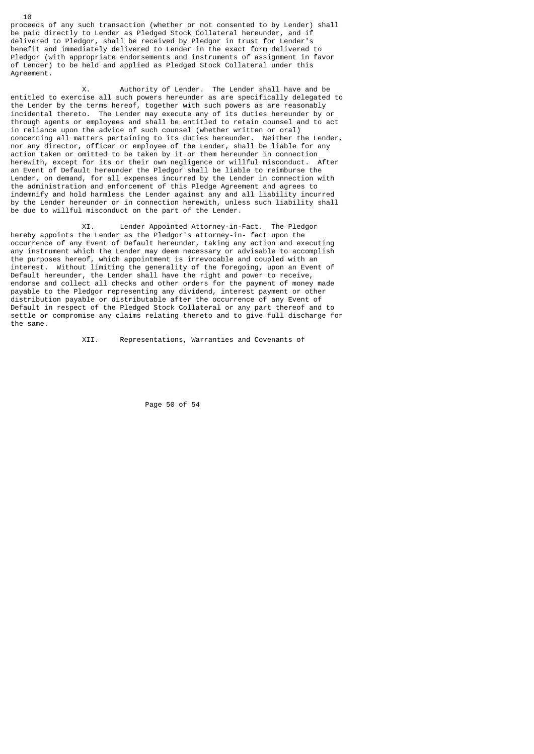proceeds of any such transaction (whether or not consented to by Lender) shall be paid directly to Lender as Pledged Stock Collateral hereunder, and if delivered to Pledgor, shall be received by Pledgor in trust for Lender's benefit and immediately delivered to Lender in the exact form delivered to Pledgor (with appropriate endorsements and instruments of assignment in favor of Lender) to be held and applied as Pledged Stock Collateral under this Agreement.

 X. Authority of Lender. The Lender shall have and be entitled to exercise all such powers hereunder as are specifically delegated to the Lender by the terms hereof, together with such powers as are reasonably incidental thereto. The Lender may execute any of its duties hereunder by or through agents or employees and shall be entitled to retain counsel and to act in reliance upon the advice of such counsel (whether written or oral) concerning all matters pertaining to its duties hereunder. Neither the Lender, nor any director, officer or employee of the Lender, shall be liable for any action taken or omitted to be taken by it or them hereunder in connection herewith, except for its or their own negligence or willful misconduct. After an Event of Default hereunder the Pledgor shall be liable to reimburse the Lender, on demand, for all expenses incurred by the Lender in connection with the administration and enforcement of this Pledge Agreement and agrees to indemnify and hold harmless the Lender against any and all liability incurred by the Lender hereunder or in connection herewith, unless such liability shall be due to willful misconduct on the part of the Lender.

 XI. Lender Appointed Attorney-in-Fact. The Pledgor hereby appoints the Lender as the Pledgor's attorney-in- fact upon the occurrence of any Event of Default hereunder, taking any action and executing any instrument which the Lender may deem necessary or advisable to accomplish the purposes hereof, which appointment is irrevocable and coupled with an interest. Without limiting the generality of the foregoing, upon an Event of Default hereunder, the Lender shall have the right and power to receive, endorse and collect all checks and other orders for the payment of money made payable to the Pledgor representing any dividend, interest payment or other distribution payable or distributable after the occurrence of any Event of Default in respect of the Pledged Stock Collateral or any part thereof and to settle or compromise any claims relating thereto and to give full discharge for the same.

XII. Representations, Warranties and Covenants of

Page 50 of 54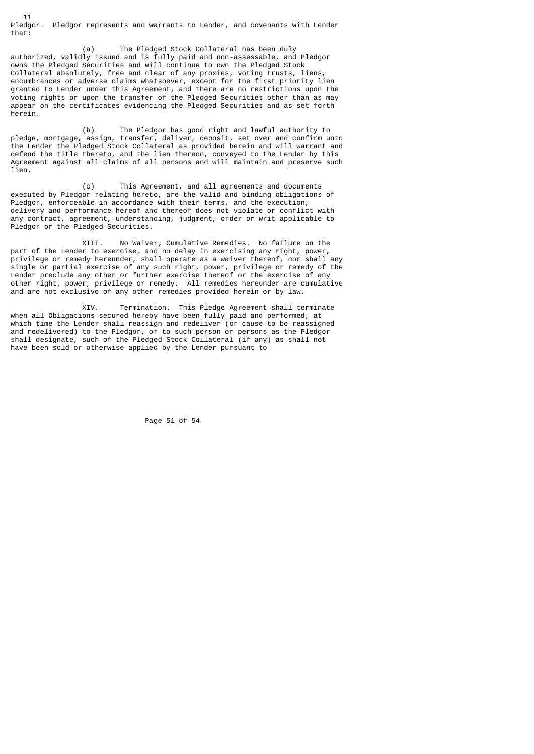11 Pledgor. Pledgor represents and warrants to Lender, and covenants with Lender that:

 (a) The Pledged Stock Collateral has been duly authorized, validly issued and is fully paid and non-assessable, and Pledgor owns the Pledged Securities and will continue to own the Pledged Stock Collateral absolutely, free and clear of any proxies, voting trusts, liens, encumbrances or adverse claims whatsoever, except for the first priority lien granted to Lender under this Agreement, and there are no restrictions upon the voting rights or upon the transfer of the Pledged Securities other than as may appear on the certificates evidencing the Pledged Securities and as set forth herein.

 (b) The Pledgor has good right and lawful authority to pledge, mortgage, assign, transfer, deliver, deposit, set over and confirm unto the Lender the Pledged Stock Collateral as provided herein and will warrant and defend the title thereto, and the lien thereon, conveyed to the Lender by this Agreement against all claims of all persons and will maintain and preserve such lien.

 (c) This Agreement, and all agreements and documents executed by Pledgor relating hereto, are the valid and binding obligations of Pledgor, enforceable in accordance with their terms, and the execution, delivery and performance hereof and thereof does not violate or conflict with any contract, agreement, understanding, judgment, order or writ applicable to Pledgor or the Pledged Securities.

 XIII. No Waiver; Cumulative Remedies. No failure on the part of the Lender to exercise, and no delay in exercising any right, power, privilege or remedy hereunder, shall operate as a waiver thereof, nor shall any single or partial exercise of any such right, power, privilege or remedy of the Lender preclude any other or further exercise thereof or the exercise of any other right, power, privilege or remedy. All remedies hereunder are cumulative and are not exclusive of any other remedies provided herein or by law.

 XIV. Termination. This Pledge Agreement shall terminate when all Obligations secured hereby have been fully paid and performed, at which time the Lender shall reassign and redeliver (or cause to be reassigned and redelivered) to the Pledgor, or to such person or persons as the Pledgor shall designate, such of the Pledged Stock Collateral (if any) as shall not have been sold or otherwise applied by the Lender pursuant to

Page 51 of 54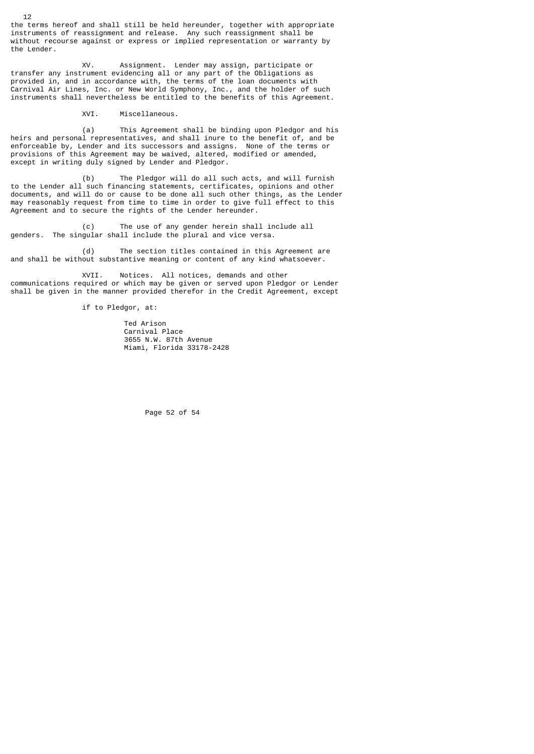the terms hereof and shall still be held hereunder, together with appropriate instruments of reassignment and release. Any such reassignment shall be without recourse against or express or implied representation or warranty by the Lender.

 XV. Assignment. Lender may assign, participate or transfer any instrument evidencing all or any part of the Obligations as provided in, and in accordance with, the terms of the loan documents with Carnival Air Lines, Inc. or New World Symphony, Inc., and the holder of such instruments shall nevertheless be entitled to the benefits of this Agreement.

XVI. Miscellaneous.

 (a) This Agreement shall be binding upon Pledgor and his heirs and personal representatives, and shall inure to the benefit of, and be enforceable by, Lender and its successors and assigns. None of the terms or provisions of this Agreement may be waived, altered, modified or amended, except in writing duly signed by Lender and Pledgor.

 (b) The Pledgor will do all such acts, and will furnish to the Lender all such financing statements, certificates, opinions and other documents, and will do or cause to be done all such other things, as the Lender may reasonably request from time to time in order to give full effect to this Agreement and to secure the rights of the Lender hereunder.

 (c) The use of any gender herein shall include all genders. The singular shall include the plural and vice versa.

 (d) The section titles contained in this Agreement are and shall be without substantive meaning or content of any kind whatsoever.

 XVII. Notices. All notices, demands and other communications required or which may be given or served upon Pledgor or Lender shall be given in the manner provided therefor in the Credit Agreement, except

if to Pledgor, at:

 Ted Arison Carnival Place 3655 N.W. 87th Avenue Miami, Florida 33178-2428

Page 52 of 54

12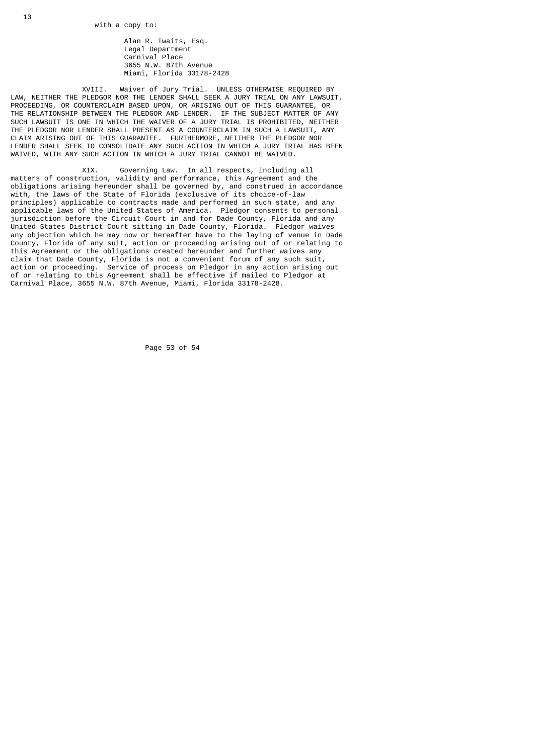Alan R. Twaits, Esq. Legal Department Carnival Place 3655 N.W. 87th Avenue Miami, Florida 33178-2428

 XVIII. Waiver of Jury Trial. UNLESS OTHERWISE REQUIRED BY LAW, NEITHER THE PLEDGOR NOR THE LENDER SHALL SEEK A JURY TRIAL ON ANY LAWSUIT, PROCEEDING, OR COUNTERCLAIM BASED UPON, OR ARISING OUT OF THIS GUARANTEE, OR THE RELATIONSHIP BETWEEN THE PLEDGOR AND LENDER. IF THE SUBJECT MATTER OF ANY SUCH LAWSUIT IS ONE IN WHICH THE WAIVER OF A JURY TRIAL IS PROHIBITED, NEITHER THE PLEDGOR NOR LENDER SHALL PRESENT AS A COUNTERCLAIM IN SUCH A LAWSUIT, ANY CLAIM ARISING OUT OF THIS GUARANTEE. FURTHERMORE, NEITHER THE PLEDGOR NOR LENDER SHALL SEEK TO CONSOLIDATE ANY SUCH ACTION IN WHICH A JURY TRIAL HAS BEEN WAIVED, WITH ANY SUCH ACTION IN WHICH A JURY TRIAL CANNOT BE WAIVED.

 XIX. Governing Law. In all respects, including all matters of construction, validity and performance, this Agreement and the obligations arising hereunder shall be governed by, and construed in accordance with, the laws of the State of Florida (exclusive of its choice-of-law principles) applicable to contracts made and performed in such state, and any applicable laws of the United States of America. Pledgor consents to personal jurisdiction before the Circuit Court in and for Dade County, Florida and any United States District Court sitting in Dade County, Florida. Pledgor waives any objection which he may now or hereafter have to the laying of venue in Dade County, Florida of any suit, action or proceeding arising out of or relating to this Agreement or the obligations created hereunder and further waives any claim that Dade County, Florida is not a convenient forum of any such suit, action or proceeding. Service of process on Pledgor in any action arising out of or relating to this Agreement shall be effective if mailed to Pledgor at Carnival Place, 3655 N.W. 87th Avenue, Miami, Florida 33178-2428.

Page 53 of 54